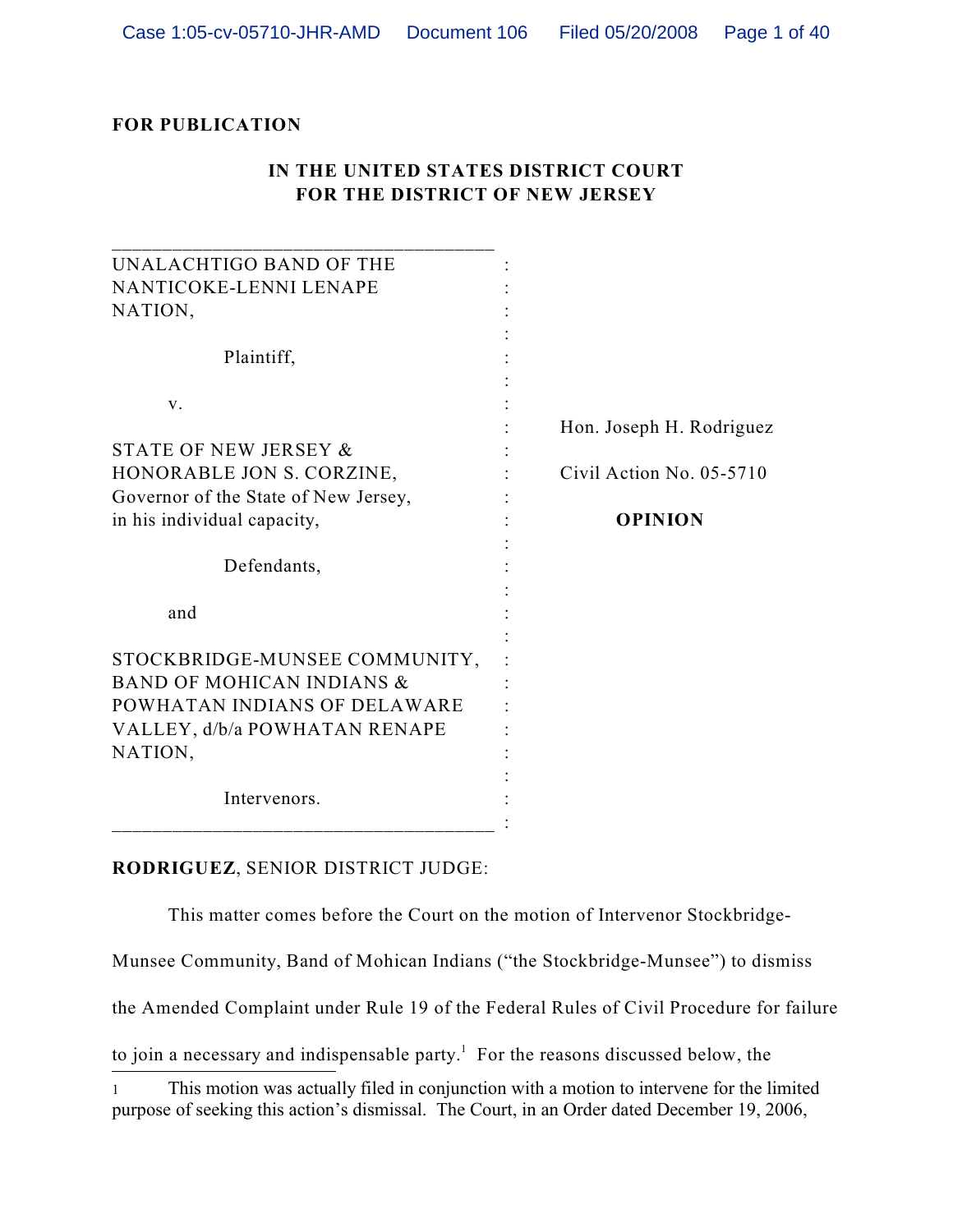## **FOR PUBLICATION**

## **IN THE UNITED STATES DISTRICT COURT FOR THE DISTRICT OF NEW JERSEY**

| UNALACHTIGO BAND OF THE              |                          |
|--------------------------------------|--------------------------|
| NANTICOKE-LENNI LENAPE               |                          |
| NATION,                              |                          |
|                                      |                          |
| Plaintiff,                           |                          |
| V.                                   |                          |
|                                      | Hon. Joseph H. Rodriguez |
| STATE OF NEW JERSEY &                |                          |
| HONORABLE JON S. CORZINE,            | Civil Action No. 05-5710 |
| Governor of the State of New Jersey, |                          |
| in his individual capacity,          | <b>OPINION</b>           |
| Defendants,                          |                          |
| and                                  |                          |
|                                      |                          |
| STOCKBRIDGE-MUNSEE COMMUNITY,        |                          |
| <b>BAND OF MOHICAN INDIANS &amp;</b> |                          |
| POWHATAN INDIANS OF DELAWARE         |                          |
| VALLEY, d/b/a POWHATAN RENAPE        |                          |
| NATION,                              |                          |
|                                      |                          |
| Intervenors.                         |                          |
|                                      |                          |

### **RODRIGUEZ**, SENIOR DISTRICT JUDGE:

This matter comes before the Court on the motion of Intervenor Stockbridge-

Munsee Community, Band of Mohican Indians ("the Stockbridge-Munsee") to dismiss

the Amended Complaint under Rule 19 of the Federal Rules of Civil Procedure for failure

to join a necessary and indispensable party.<sup>1</sup> For the reasons discussed below, the

<sup>1</sup> This motion was actually filed in conjunction with a motion to intervene for the limited purpose of seeking this action's dismissal. The Court, in an Order dated December 19, 2006,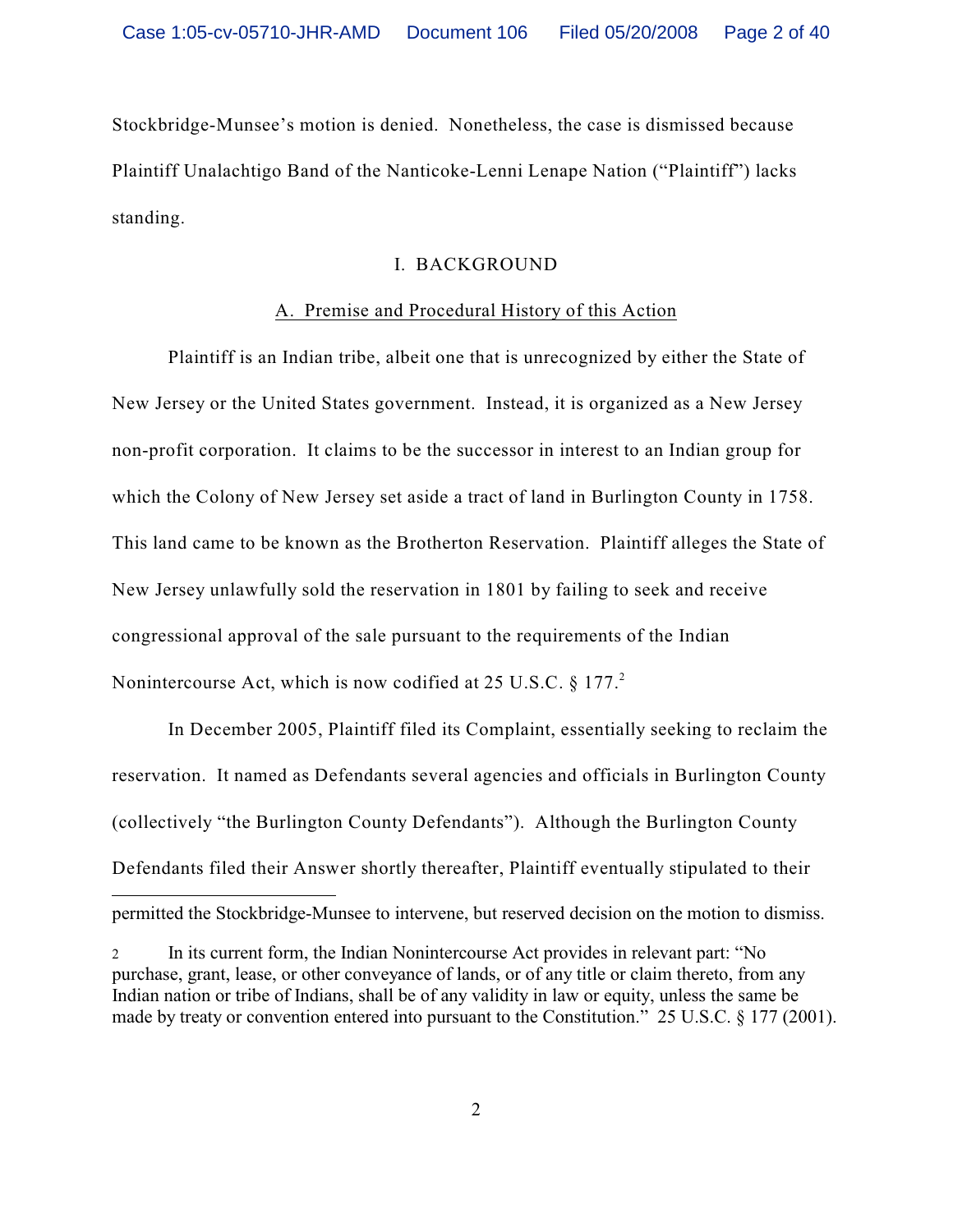Stockbridge-Munsee's motion is denied. Nonetheless, the case is dismissed because Plaintiff Unalachtigo Band of the Nanticoke-Lenni Lenape Nation ("Plaintiff") lacks standing.

### I. BACKGROUND

### A. Premise and Procedural History of this Action

Plaintiff is an Indian tribe, albeit one that is unrecognized by either the State of New Jersey or the United States government. Instead, it is organized as a New Jersey non-profit corporation. It claims to be the successor in interest to an Indian group for which the Colony of New Jersey set aside a tract of land in Burlington County in 1758. This land came to be known as the Brotherton Reservation. Plaintiff alleges the State of New Jersey unlawfully sold the reservation in 1801 by failing to seek and receive congressional approval of the sale pursuant to the requirements of the Indian Nonintercourse Act, which is now codified at 25 U.S.C.  $\S 177<sup>2</sup>$ 

permitted the Stockbridge-Munsee to intervene, but reserved decision on the motion to dismiss. In December 2005, Plaintiff filed its Complaint, essentially seeking to reclaim the reservation. It named as Defendants several agencies and officials in Burlington County (collectively "the Burlington County Defendants"). Although the Burlington County Defendants filed their Answer shortly thereafter, Plaintiff eventually stipulated to their

<sup>2</sup> In its current form, the Indian Nonintercourse Act provides in relevant part: "No purchase, grant, lease, or other conveyance of lands, or of any title or claim thereto, from any Indian nation or tribe of Indians, shall be of any validity in law or equity, unless the same be made by treaty or convention entered into pursuant to the Constitution." 25 U.S.C. § 177 (2001).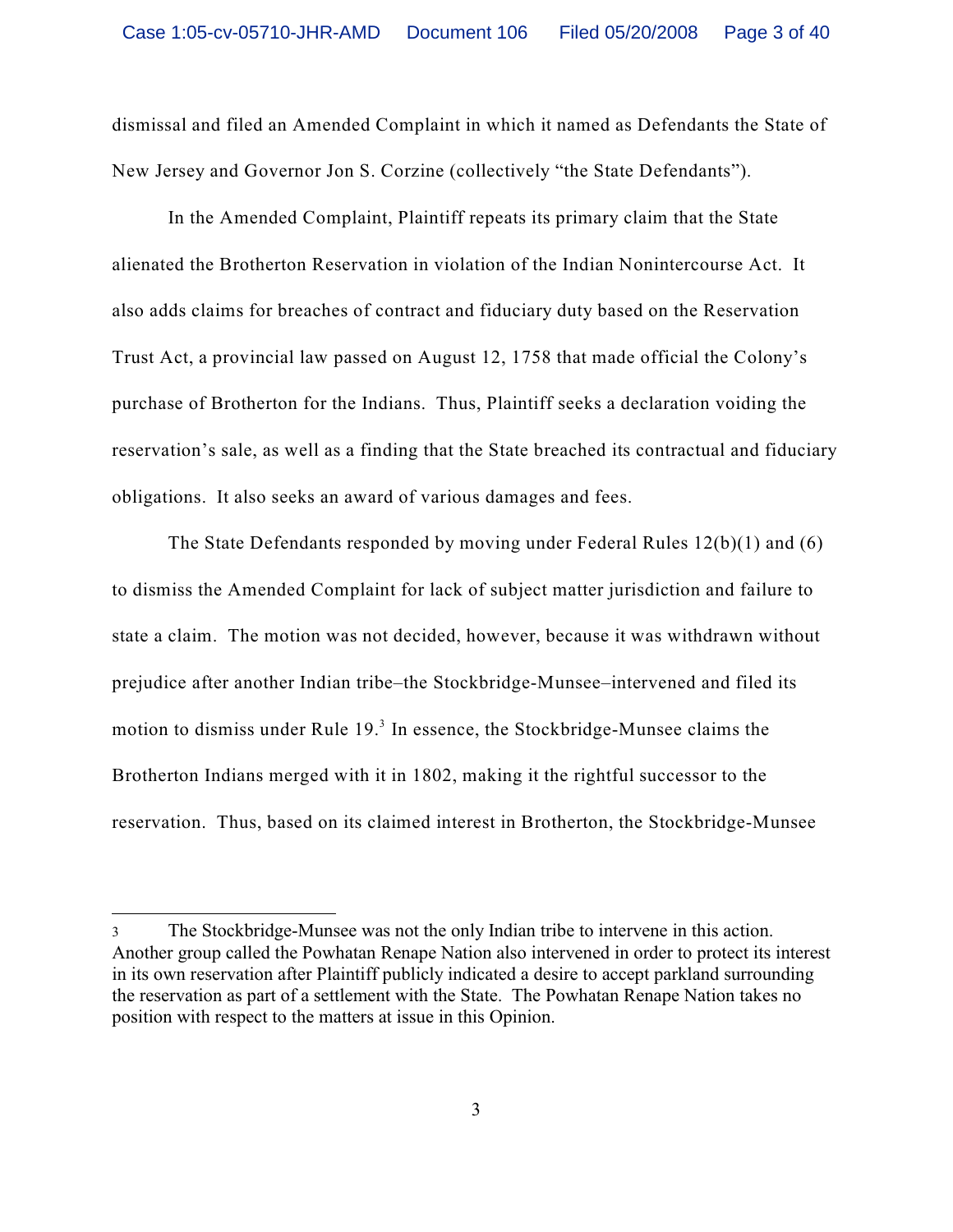dismissal and filed an Amended Complaint in which it named as Defendants the State of New Jersey and Governor Jon S. Corzine (collectively "the State Defendants").

In the Amended Complaint, Plaintiff repeats its primary claim that the State alienated the Brotherton Reservation in violation of the Indian Nonintercourse Act. It also adds claims for breaches of contract and fiduciary duty based on the Reservation Trust Act, a provincial law passed on August 12, 1758 that made official the Colony's purchase of Brotherton for the Indians. Thus, Plaintiff seeks a declaration voiding the reservation's sale, as well as a finding that the State breached its contractual and fiduciary obligations. It also seeks an award of various damages and fees.

The State Defendants responded by moving under Federal Rules 12(b)(1) and (6) to dismiss the Amended Complaint for lack of subject matter jurisdiction and failure to state a claim. The motion was not decided, however, because it was withdrawn without prejudice after another Indian tribe–the Stockbridge-Munsee–intervened and filed its motion to dismiss under Rule  $19<sup>3</sup>$  In essence, the Stockbridge-Munsee claims the Brotherton Indians merged with it in 1802, making it the rightful successor to the reservation. Thus, based on its claimed interest in Brotherton, the Stockbridge-Munsee

<sup>3</sup> The Stockbridge-Munsee was not the only Indian tribe to intervene in this action. Another group called the Powhatan Renape Nation also intervened in order to protect its interest in its own reservation after Plaintiff publicly indicated a desire to accept parkland surrounding the reservation as part of a settlement with the State. The Powhatan Renape Nation takes no position with respect to the matters at issue in this Opinion.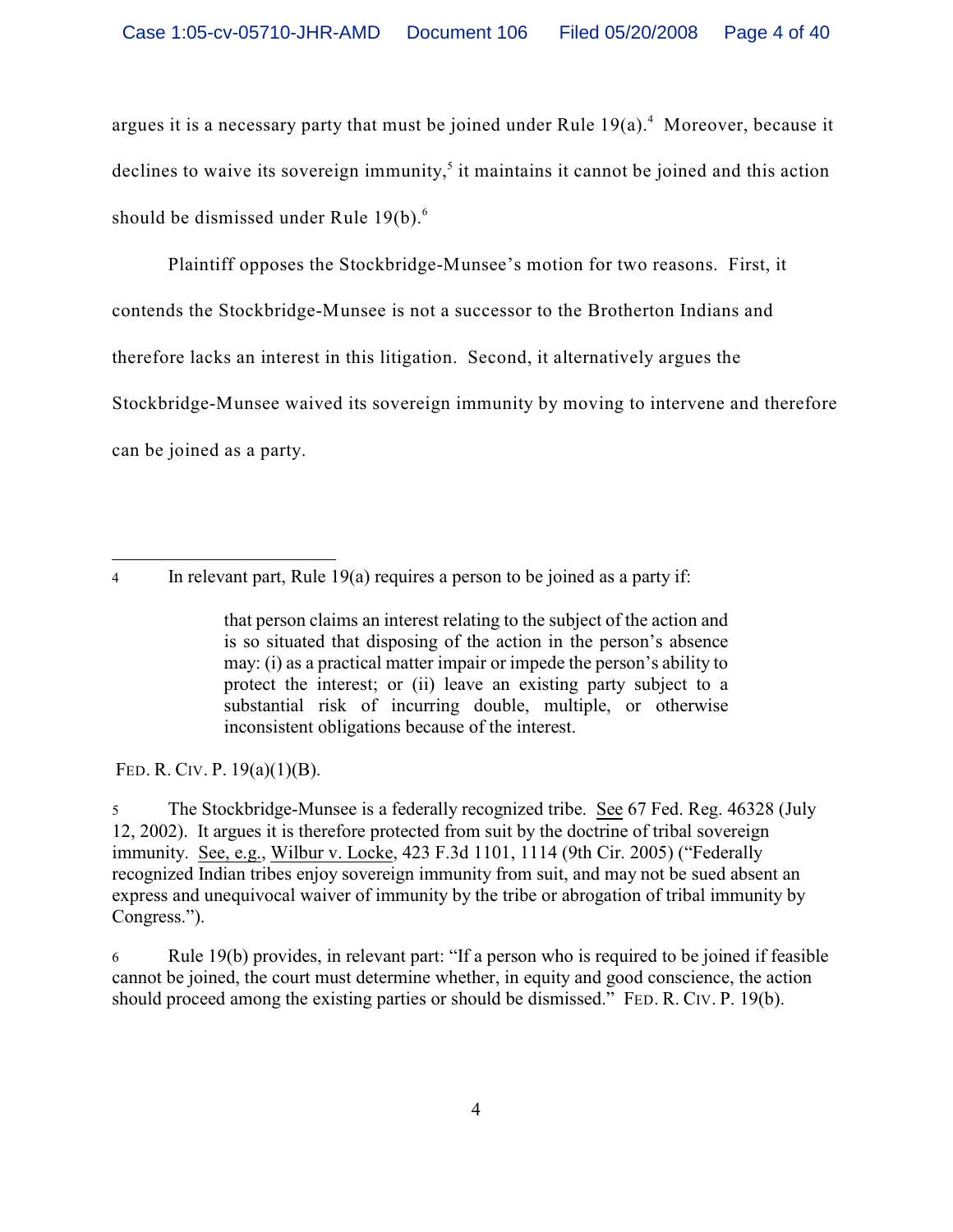argues it is a necessary party that must be joined under Rule  $19(a)$ <sup>4</sup>. Moreover, because it declines to waive its sovereign immunity,<sup> $5$ </sup> it maintains it cannot be joined and this action should be dismissed under Rule  $19(b)$ .<sup>6</sup>

Plaintiff opposes the Stockbridge-Munsee's motion for two reasons. First, it contends the Stockbridge-Munsee is not a successor to the Brotherton Indians and therefore lacks an interest in this litigation. Second, it alternatively argues the Stockbridge-Munsee waived its sovereign immunity by moving to intervene and therefore can be joined as a party.

4 In relevant part, Rule 19(a) requires a person to be joined as a party if:

FED. R. CIV. P. 19(a)(1)(B).

5 The Stockbridge-Munsee is a federally recognized tribe. See 67 Fed. Reg. 46328 (July 12, 2002). It argues it is therefore protected from suit by the doctrine of tribal sovereign immunity. See, e.g., Wilbur v. Locke, 423 F.3d 1101, 1114 (9th Cir. 2005) ("Federally recognized Indian tribes enjoy sovereign immunity from suit, and may not be sued absent an express and unequivocal waiver of immunity by the tribe or abrogation of tribal immunity by Congress.").

6 Rule 19(b) provides, in relevant part: "If a person who is required to be joined if feasible cannot be joined, the court must determine whether, in equity and good conscience, the action should proceed among the existing parties or should be dismissed." FED. R. CIV. P. 19(b).

that person claims an interest relating to the subject of the action and is so situated that disposing of the action in the person's absence may: (i) as a practical matter impair or impede the person's ability to protect the interest; or (ii) leave an existing party subject to a substantial risk of incurring double, multiple, or otherwise inconsistent obligations because of the interest.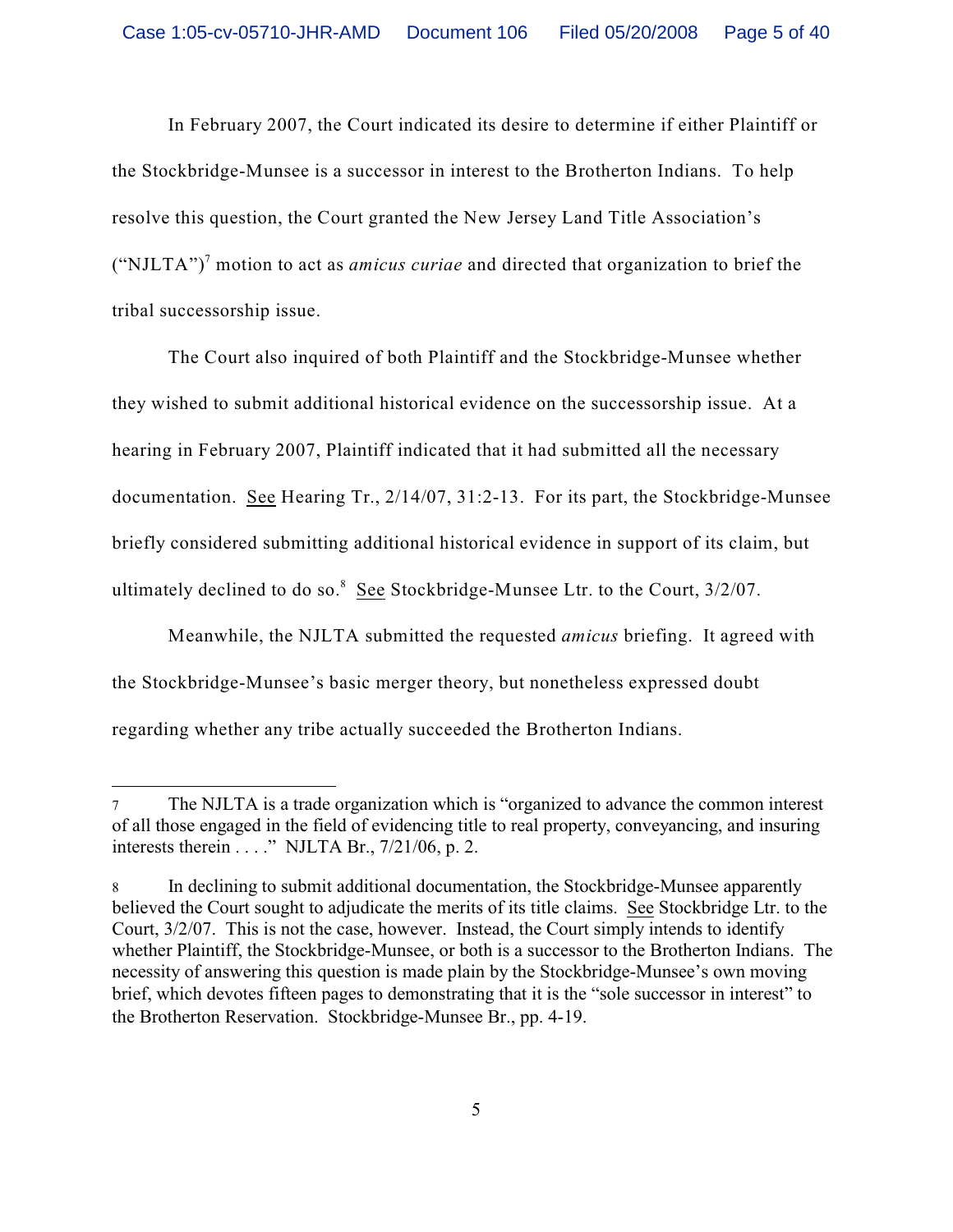In February 2007, the Court indicated its desire to determine if either Plaintiff or the Stockbridge-Munsee is a successor in interest to the Brotherton Indians. To help resolve this question, the Court granted the New Jersey Land Title Association's ("NJLTA")<sup>7</sup> motion to act as *amicus curiae* and directed that organization to brief the tribal successorship issue.

The Court also inquired of both Plaintiff and the Stockbridge-Munsee whether they wished to submit additional historical evidence on the successorship issue. At a hearing in February 2007, Plaintiff indicated that it had submitted all the necessary documentation. See Hearing Tr., 2/14/07, 31:2-13. For its part, the Stockbridge-Munsee briefly considered submitting additional historical evidence in support of its claim, but ultimately declined to do so. $8 \text{ See Stockbridge-Munsee Ltr.}$  to the Court,  $3/2/07$ .

Meanwhile, the NJLTA submitted the requested *amicus* briefing. It agreed with the Stockbridge-Munsee's basic merger theory, but nonetheless expressed doubt regarding whether any tribe actually succeeded the Brotherton Indians.

<sup>7</sup> The NJLTA is a trade organization which is "organized to advance the common interest of all those engaged in the field of evidencing title to real property, conveyancing, and insuring interests therein . . . ." NJLTA Br., 7/21/06, p. 2.

<sup>8</sup> In declining to submit additional documentation, the Stockbridge-Munsee apparently believed the Court sought to adjudicate the merits of its title claims. See Stockbridge Ltr. to the Court, 3/2/07. This is not the case, however. Instead, the Court simply intends to identify whether Plaintiff, the Stockbridge-Munsee, or both is a successor to the Brotherton Indians. The necessity of answering this question is made plain by the Stockbridge-Munsee's own moving brief, which devotes fifteen pages to demonstrating that it is the "sole successor in interest" to the Brotherton Reservation. Stockbridge-Munsee Br., pp. 4-19.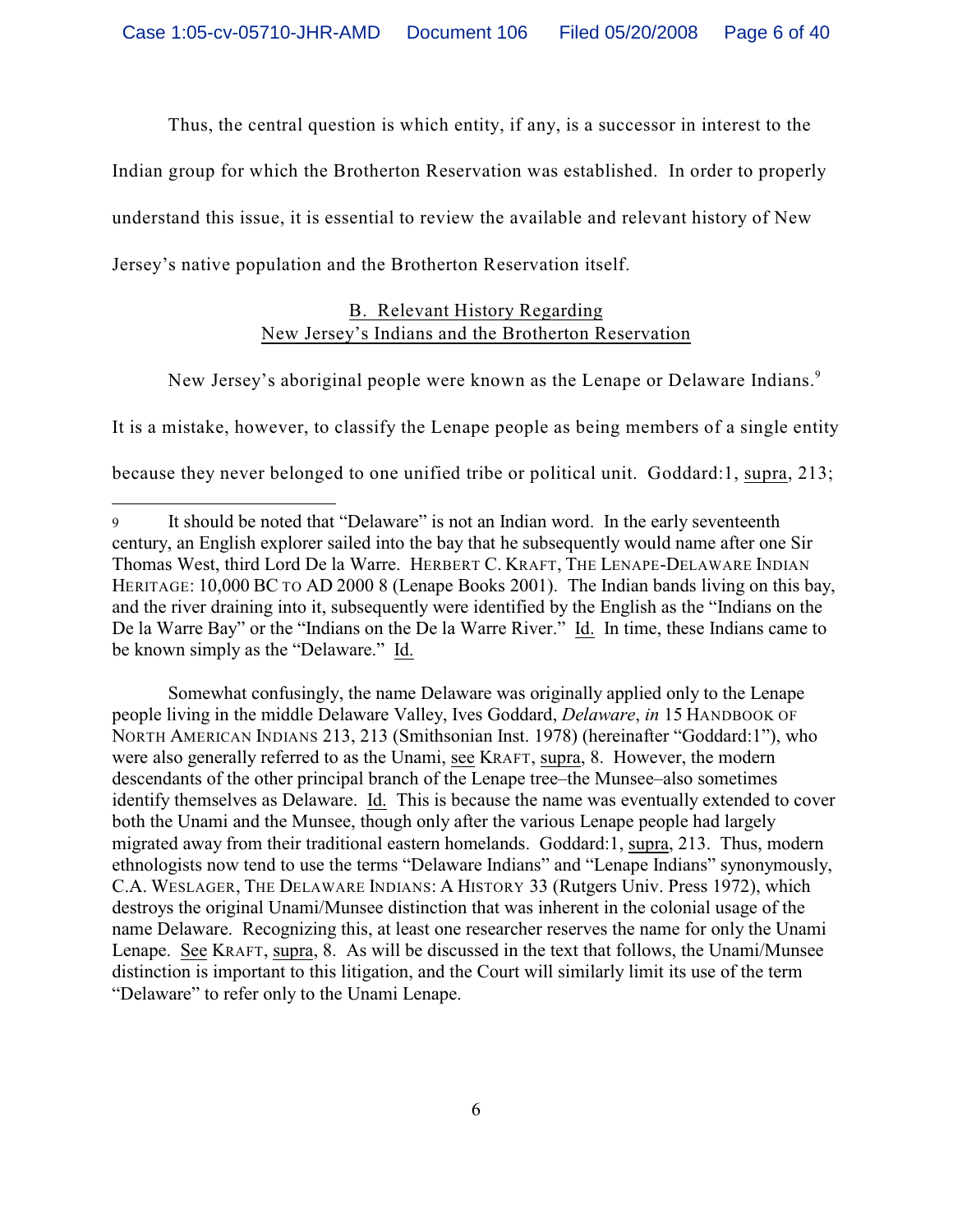Thus, the central question is which entity, if any, is a successor in interest to the

Indian group for which the Brotherton Reservation was established. In order to properly

understand this issue, it is essential to review the available and relevant history of New

Jersey's native population and the Brotherton Reservation itself.

## B. Relevant History Regarding New Jersey's Indians and the Brotherton Reservation

New Jersey's aboriginal people were known as the Lenape or Delaware Indians.<sup>9</sup>

It is a mistake, however, to classify the Lenape people as being members of a single entity

because they never belonged to one unified tribe or political unit. Goddard:1, supra, 213;

Somewhat confusingly, the name Delaware was originally applied only to the Lenape people living in the middle Delaware Valley, Ives Goddard, *Delaware*, *in* 15 HANDBOOK OF NORTH AMERICAN INDIANS 213, 213 (Smithsonian Inst. 1978) (hereinafter "Goddard:1"), who were also generally referred to as the Unami, see KRAFT, supra, 8. However, the modern descendants of the other principal branch of the Lenape tree–the Munsee–also sometimes identify themselves as Delaware. Id. This is because the name was eventually extended to cover both the Unami and the Munsee, though only after the various Lenape people had largely migrated away from their traditional eastern homelands. Goddard:1, supra, 213. Thus, modern ethnologists now tend to use the terms "Delaware Indians" and "Lenape Indians" synonymously, C.A. WESLAGER, THE DELAWARE INDIANS: A HISTORY 33 (Rutgers Univ. Press 1972), which destroys the original Unami/Munsee distinction that was inherent in the colonial usage of the name Delaware. Recognizing this, at least one researcher reserves the name for only the Unami Lenape. See KRAFT, supra, 8. As will be discussed in the text that follows, the Unami/Munsee distinction is important to this litigation, and the Court will similarly limit its use of the term "Delaware" to refer only to the Unami Lenape.

<sup>9</sup> It should be noted that "Delaware" is not an Indian word. In the early seventeenth century, an English explorer sailed into the bay that he subsequently would name after one Sir Thomas West, third Lord De la Warre. HERBERT C. KRAFT, THE LENAPE-DELAWARE INDIAN HERITAGE: 10,000 BC TO AD 2000 8 (Lenape Books 2001). The Indian bands living on this bay, and the river draining into it, subsequently were identified by the English as the "Indians on the De la Warre Bay" or the "Indians on the De la Warre River." Id. In time, these Indians came to be known simply as the "Delaware." Id.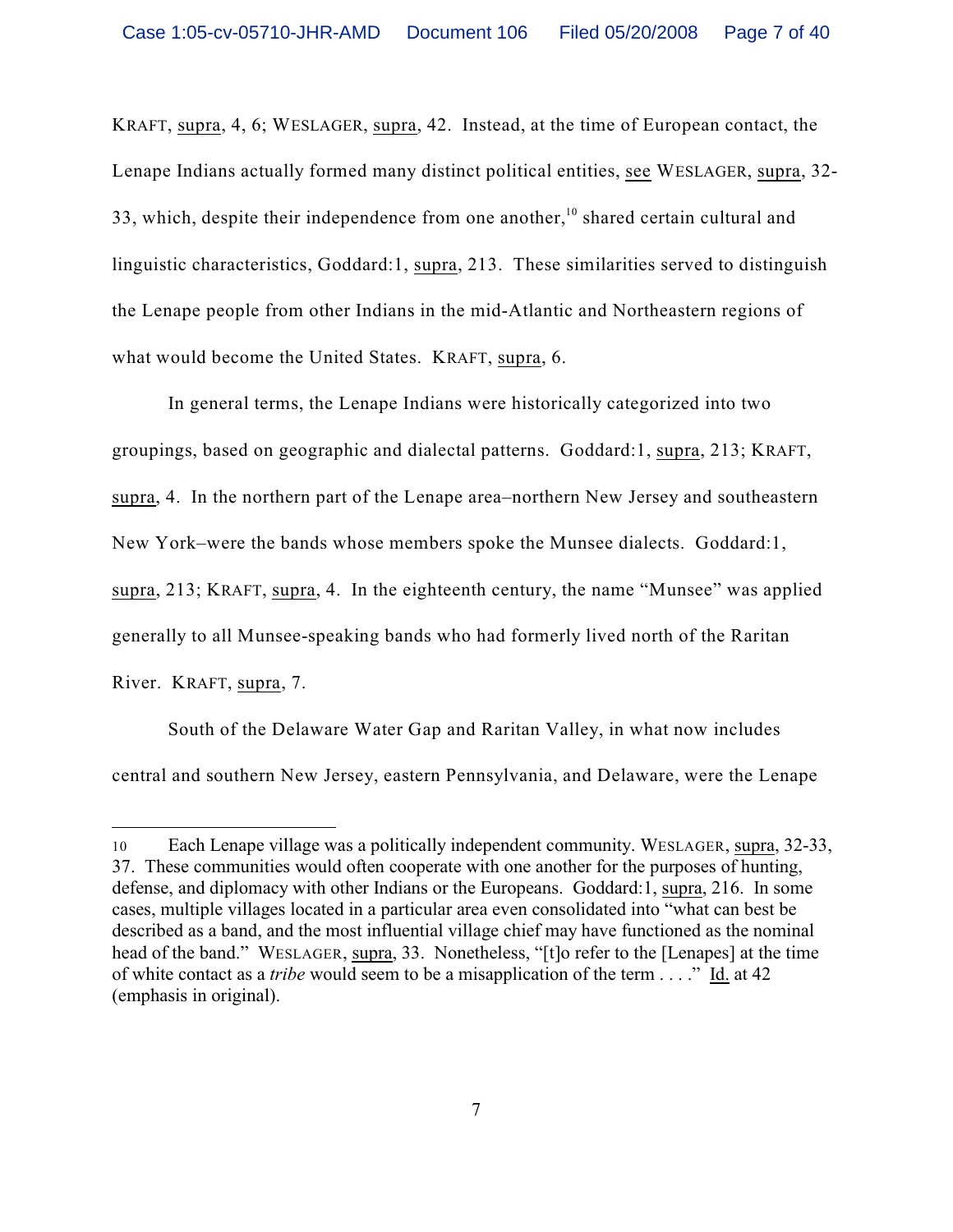KRAFT, supra, 4, 6; WESLAGER, supra, 42. Instead, at the time of European contact, the Lenape Indians actually formed many distinct political entities, see WESLAGER, supra, 32- 33, which, despite their independence from one another,<sup>10</sup> shared certain cultural and linguistic characteristics, Goddard:1, supra, 213. These similarities served to distinguish the Lenape people from other Indians in the mid-Atlantic and Northeastern regions of what would become the United States. KRAFT, supra, 6.

In general terms, the Lenape Indians were historically categorized into two groupings, based on geographic and dialectal patterns. Goddard:1, supra, 213; KRAFT, supra, 4. In the northern part of the Lenape area–northern New Jersey and southeastern New York–were the bands whose members spoke the Munsee dialects. Goddard:1, supra, 213; KRAFT, supra, 4. In the eighteenth century, the name "Munsee" was applied generally to all Munsee-speaking bands who had formerly lived north of the Raritan River. KRAFT, supra, 7.

South of the Delaware Water Gap and Raritan Valley, in what now includes central and southern New Jersey, eastern Pennsylvania, and Delaware, were the Lenape

<sup>10</sup> Each Lenape village was a politically independent community. WESLAGER, supra, 32-33, 37. These communities would often cooperate with one another for the purposes of hunting, defense, and diplomacy with other Indians or the Europeans. Goddard:1, supra, 216. In some cases, multiple villages located in a particular area even consolidated into "what can best be described as a band, and the most influential village chief may have functioned as the nominal head of the band." WESLAGER, supra, 33. Nonetheless, "[t]o refer to the [Lenapes] at the time of white contact as a *tribe* would seem to be a misapplication of the term . . . ." Id. at 42 (emphasis in original).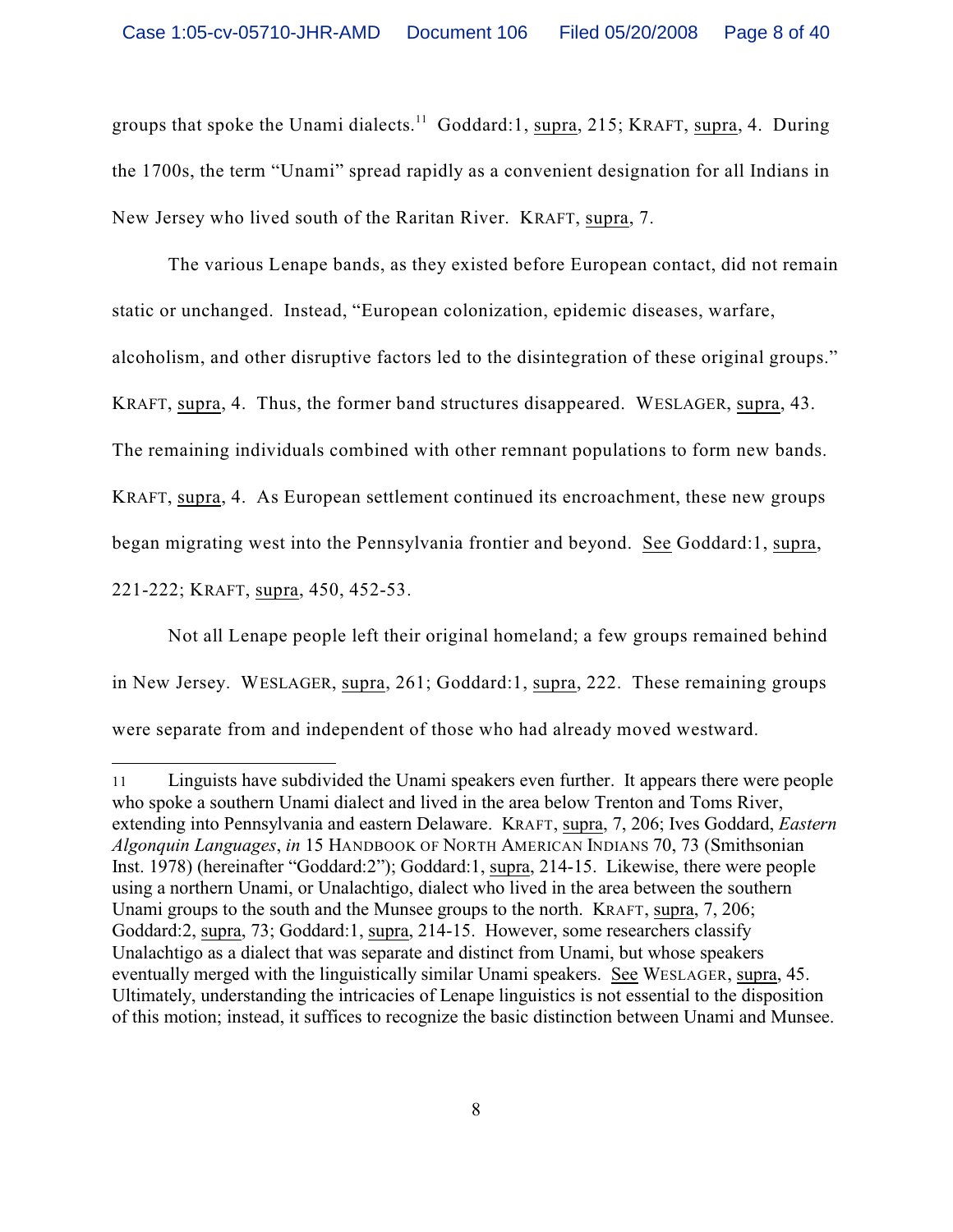groups that spoke the Unami dialects.<sup>11</sup> Goddard:1, supra, 215; KRAFT, supra, 4. During the 1700s, the term "Unami" spread rapidly as a convenient designation for all Indians in New Jersey who lived south of the Raritan River. KRAFT, supra, 7.

The various Lenape bands, as they existed before European contact, did not remain static or unchanged. Instead, "European colonization, epidemic diseases, warfare,

alcoholism, and other disruptive factors led to the disintegration of these original groups."

KRAFT, supra, 4. Thus, the former band structures disappeared. WESLAGER, supra, 43.

The remaining individuals combined with other remnant populations to form new bands.

KRAFT, supra, 4. As European settlement continued its encroachment, these new groups

began migrating west into the Pennsylvania frontier and beyond. See Goddard:1, supra,

221-222; KRAFT, supra, 450, 452-53.

Not all Lenape people left their original homeland; a few groups remained behind in New Jersey. WESLAGER, supra, 261; Goddard:1, supra, 222. These remaining groups were separate from and independent of those who had already moved westward.

<sup>11</sup> Linguists have subdivided the Unami speakers even further. It appears there were people who spoke a southern Unami dialect and lived in the area below Trenton and Toms River, extending into Pennsylvania and eastern Delaware. KRAFT, supra, 7, 206; Ives Goddard, *Eastern Algonquin Languages*, *in* 15 HANDBOOK OF NORTH AMERICAN INDIANS 70, 73 (Smithsonian Inst. 1978) (hereinafter "Goddard:2"); Goddard:1, supra, 214-15. Likewise, there were people using a northern Unami, or Unalachtigo, dialect who lived in the area between the southern Unami groups to the south and the Munsee groups to the north. KRAFT, supra, 7, 206; Goddard:2, supra, 73; Goddard:1, supra, 214-15. However, some researchers classify Unalachtigo as a dialect that was separate and distinct from Unami, but whose speakers eventually merged with the linguistically similar Unami speakers. See WESLAGER, supra, 45. Ultimately, understanding the intricacies of Lenape linguistics is not essential to the disposition of this motion; instead, it suffices to recognize the basic distinction between Unami and Munsee.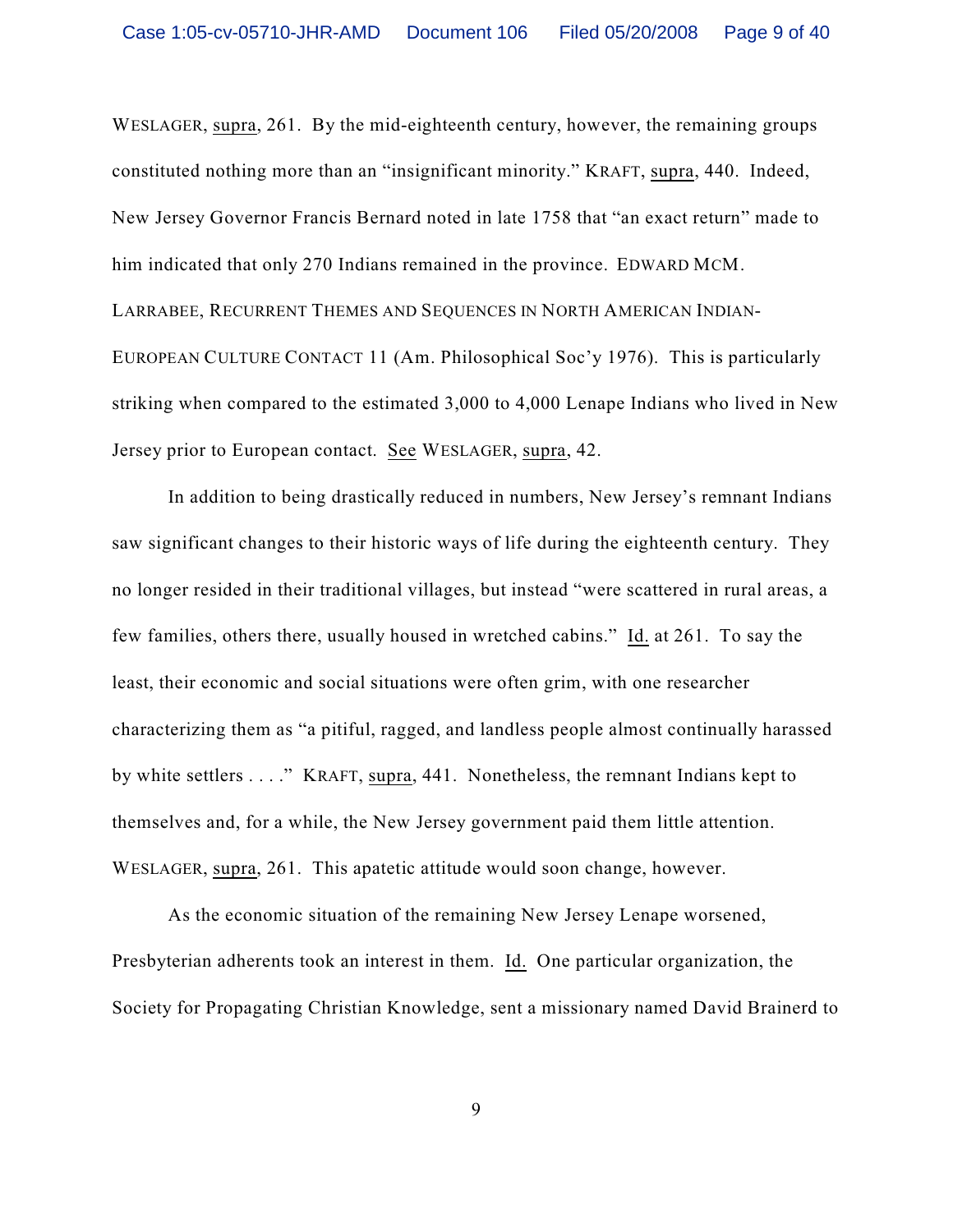WESLAGER, supra, 261. By the mid-eighteenth century, however, the remaining groups constituted nothing more than an "insignificant minority." KRAFT, supra, 440. Indeed, New Jersey Governor Francis Bernard noted in late 1758 that "an exact return" made to him indicated that only 270 Indians remained in the province. EDWARD MCM. LARRABEE, RECURRENT THEMES AND SEQUENCES IN NORTH AMERICAN INDIAN-EUROPEAN CULTURE CONTACT 11 (Am. Philosophical Soc'y 1976). This is particularly striking when compared to the estimated 3,000 to 4,000 Lenape Indians who lived in New Jersey prior to European contact. See WESLAGER, supra, 42.

In addition to being drastically reduced in numbers, New Jersey's remnant Indians saw significant changes to their historic ways of life during the eighteenth century. They no longer resided in their traditional villages, but instead "were scattered in rural areas, a few families, others there, usually housed in wretched cabins." Id. at 261. To say the least, their economic and social situations were often grim, with one researcher characterizing them as "a pitiful, ragged, and landless people almost continually harassed by white settlers . . . ." KRAFT, supra, 441. Nonetheless, the remnant Indians kept to themselves and, for a while, the New Jersey government paid them little attention. WESLAGER, supra, 261. This apatetic attitude would soon change, however.

As the economic situation of the remaining New Jersey Lenape worsened, Presbyterian adherents took an interest in them. Id. One particular organization, the Society for Propagating Christian Knowledge, sent a missionary named David Brainerd to

9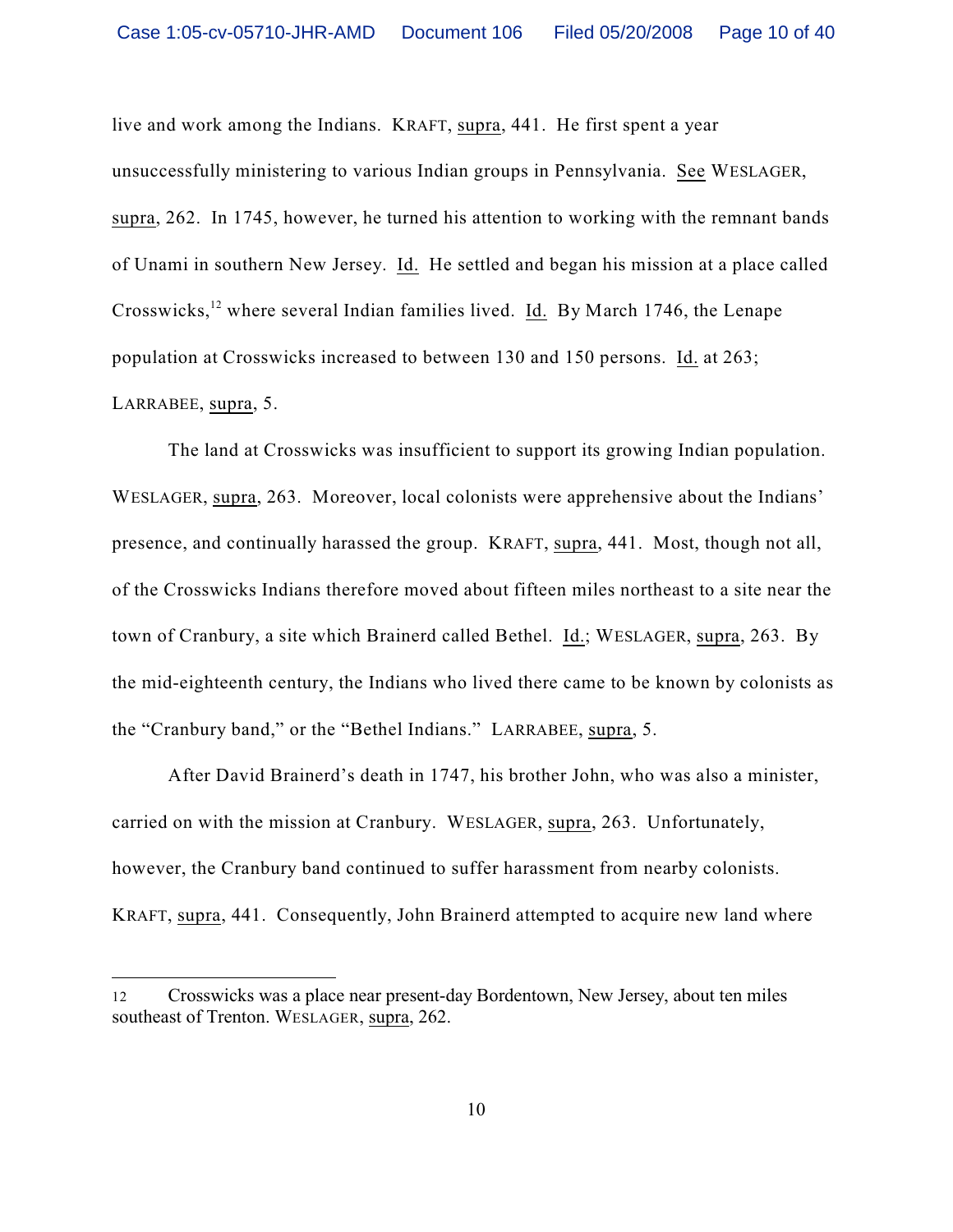live and work among the Indians. KRAFT, supra, 441. He first spent a year unsuccessfully ministering to various Indian groups in Pennsylvania. See WESLAGER, supra, 262. In 1745, however, he turned his attention to working with the remnant bands of Unami in southern New Jersey. Id. He settled and began his mission at a place called Crosswicks, <sup>12</sup> where several Indian families lived. Id. By March 1746, the Lenape population at Crosswicks increased to between 130 and 150 persons. Id. at 263; LARRABEE, supra, 5.

The land at Crosswicks was insufficient to support its growing Indian population. WESLAGER, supra, 263. Moreover, local colonists were apprehensive about the Indians' presence, and continually harassed the group. KRAFT, supra, 441. Most, though not all, of the Crosswicks Indians therefore moved about fifteen miles northeast to a site near the town of Cranbury, a site which Brainerd called Bethel. Id.; WESLAGER, supra, 263. By the mid-eighteenth century, the Indians who lived there came to be known by colonists as the "Cranbury band," or the "Bethel Indians." LARRABEE, supra, 5.

After David Brainerd's death in 1747, his brother John, who was also a minister, carried on with the mission at Cranbury. WESLAGER, supra, 263. Unfortunately, however, the Cranbury band continued to suffer harassment from nearby colonists. KRAFT, supra, 441. Consequently, John Brainerd attempted to acquire new land where

<sup>12</sup> Crosswicks was a place near present-day Bordentown, New Jersey, about ten miles southeast of Trenton. WESLAGER, supra, 262.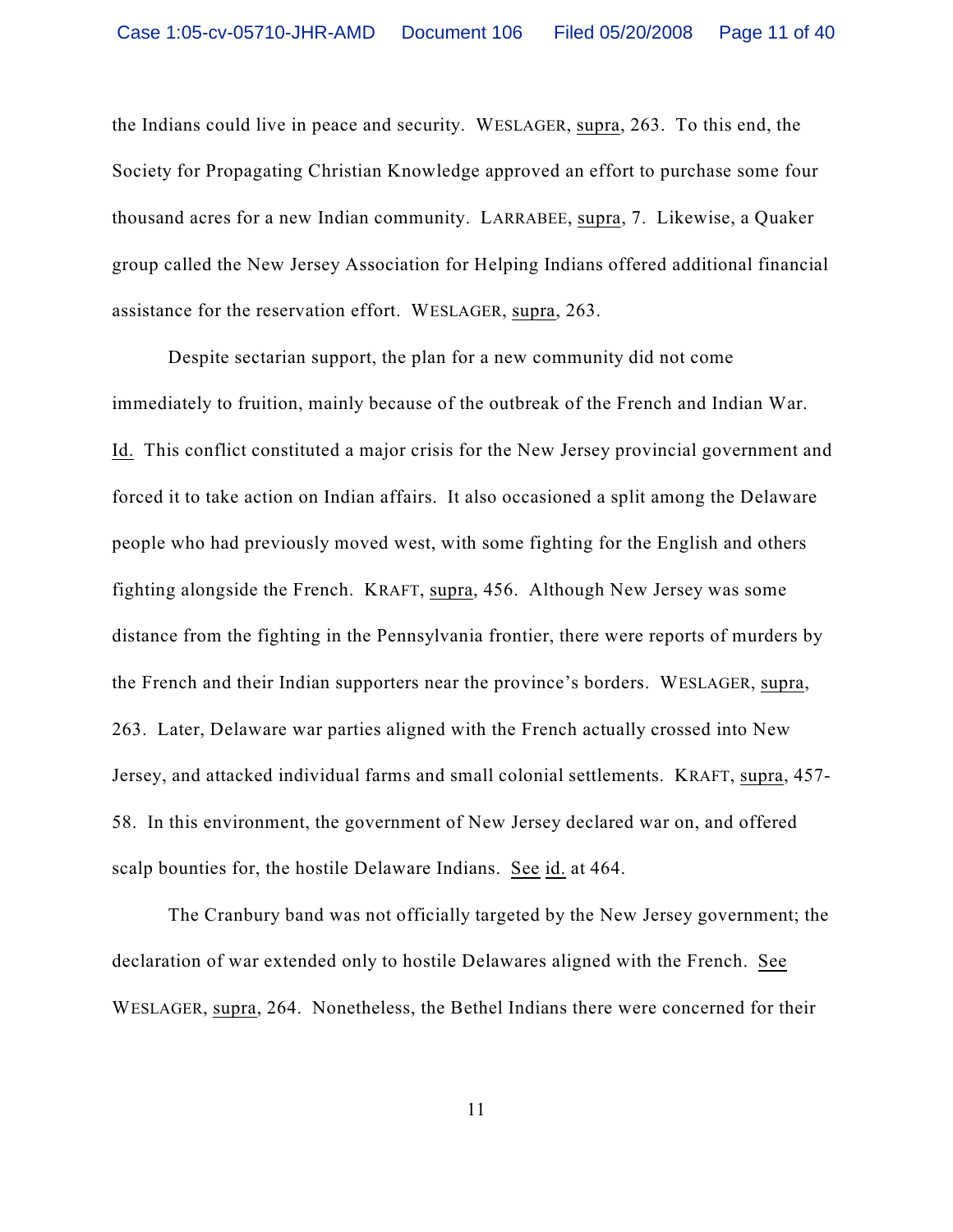the Indians could live in peace and security. WESLAGER, supra, 263. To this end, the Society for Propagating Christian Knowledge approved an effort to purchase some four thousand acres for a new Indian community. LARRABEE, supra, 7. Likewise, a Quaker group called the New Jersey Association for Helping Indians offered additional financial assistance for the reservation effort. WESLAGER, supra, 263.

Despite sectarian support, the plan for a new community did not come immediately to fruition, mainly because of the outbreak of the French and Indian War. Id. This conflict constituted a major crisis for the New Jersey provincial government and forced it to take action on Indian affairs. It also occasioned a split among the Delaware people who had previously moved west, with some fighting for the English and others fighting alongside the French. KRAFT, supra, 456. Although New Jersey was some distance from the fighting in the Pennsylvania frontier, there were reports of murders by the French and their Indian supporters near the province's borders. WESLAGER, supra, 263. Later, Delaware war parties aligned with the French actually crossed into New Jersey, and attacked individual farms and small colonial settlements. KRAFT, supra, 457- 58. In this environment, the government of New Jersey declared war on, and offered scalp bounties for, the hostile Delaware Indians. See id. at 464.

The Cranbury band was not officially targeted by the New Jersey government; the declaration of war extended only to hostile Delawares aligned with the French. See WESLAGER, supra, 264. Nonetheless, the Bethel Indians there were concerned for their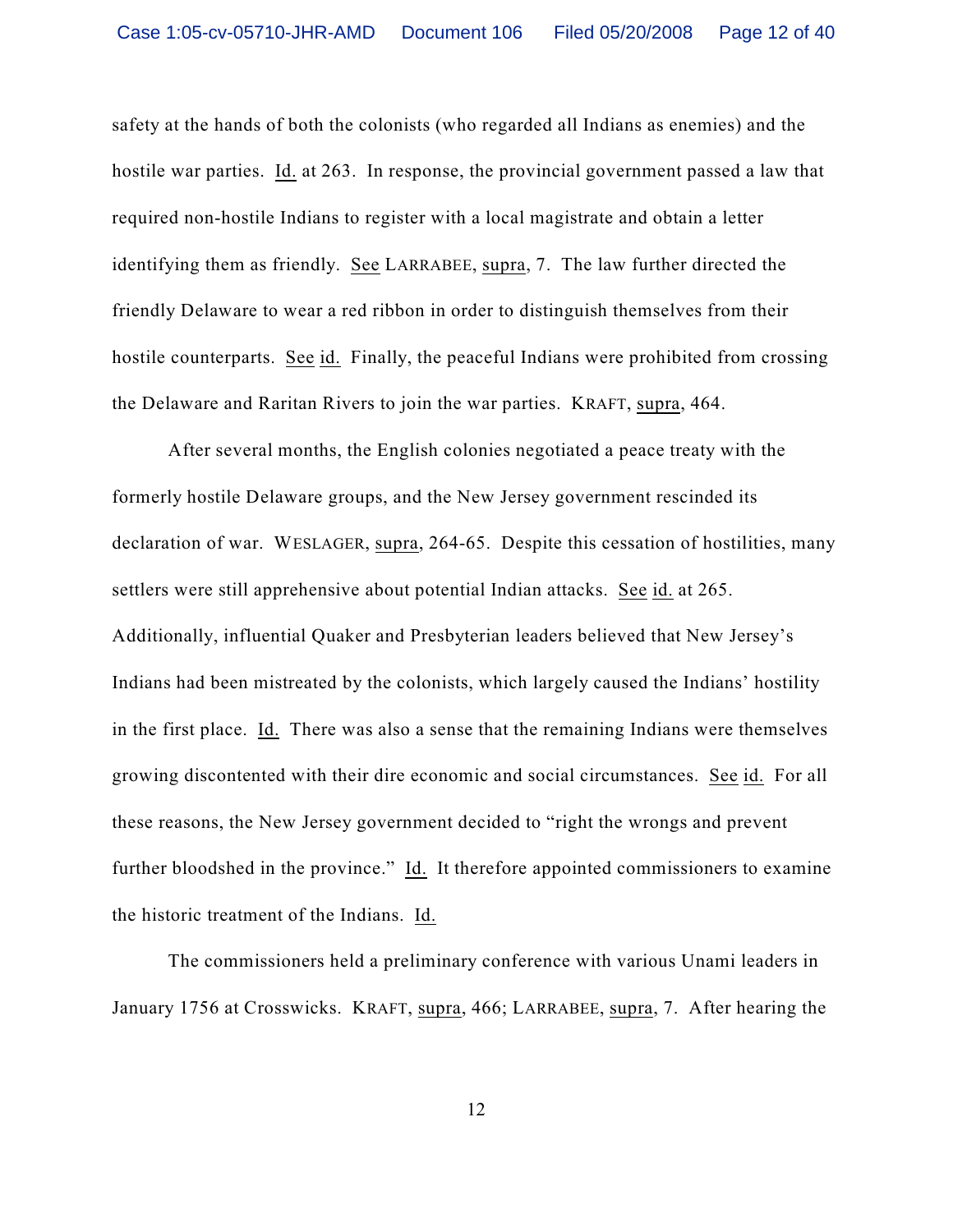safety at the hands of both the colonists (who regarded all Indians as enemies) and the hostile war parties. Id. at 263. In response, the provincial government passed a law that required non-hostile Indians to register with a local magistrate and obtain a letter identifying them as friendly. See LARRABEE, supra, 7. The law further directed the friendly Delaware to wear a red ribbon in order to distinguish themselves from their hostile counterparts. See id. Finally, the peaceful Indians were prohibited from crossing the Delaware and Raritan Rivers to join the war parties. KRAFT, supra, 464.

After several months, the English colonies negotiated a peace treaty with the formerly hostile Delaware groups, and the New Jersey government rescinded its declaration of war. WESLAGER, supra, 264-65. Despite this cessation of hostilities, many settlers were still apprehensive about potential Indian attacks. See id. at 265. Additionally, influential Quaker and Presbyterian leaders believed that New Jersey's Indians had been mistreated by the colonists, which largely caused the Indians' hostility in the first place. Id. There was also a sense that the remaining Indians were themselves growing discontented with their dire economic and social circumstances. See id. For all these reasons, the New Jersey government decided to "right the wrongs and prevent further bloodshed in the province." Id. It therefore appointed commissioners to examine the historic treatment of the Indians. Id.

The commissioners held a preliminary conference with various Unami leaders in January 1756 at Crosswicks. KRAFT, supra, 466; LARRABEE, supra, 7. After hearing the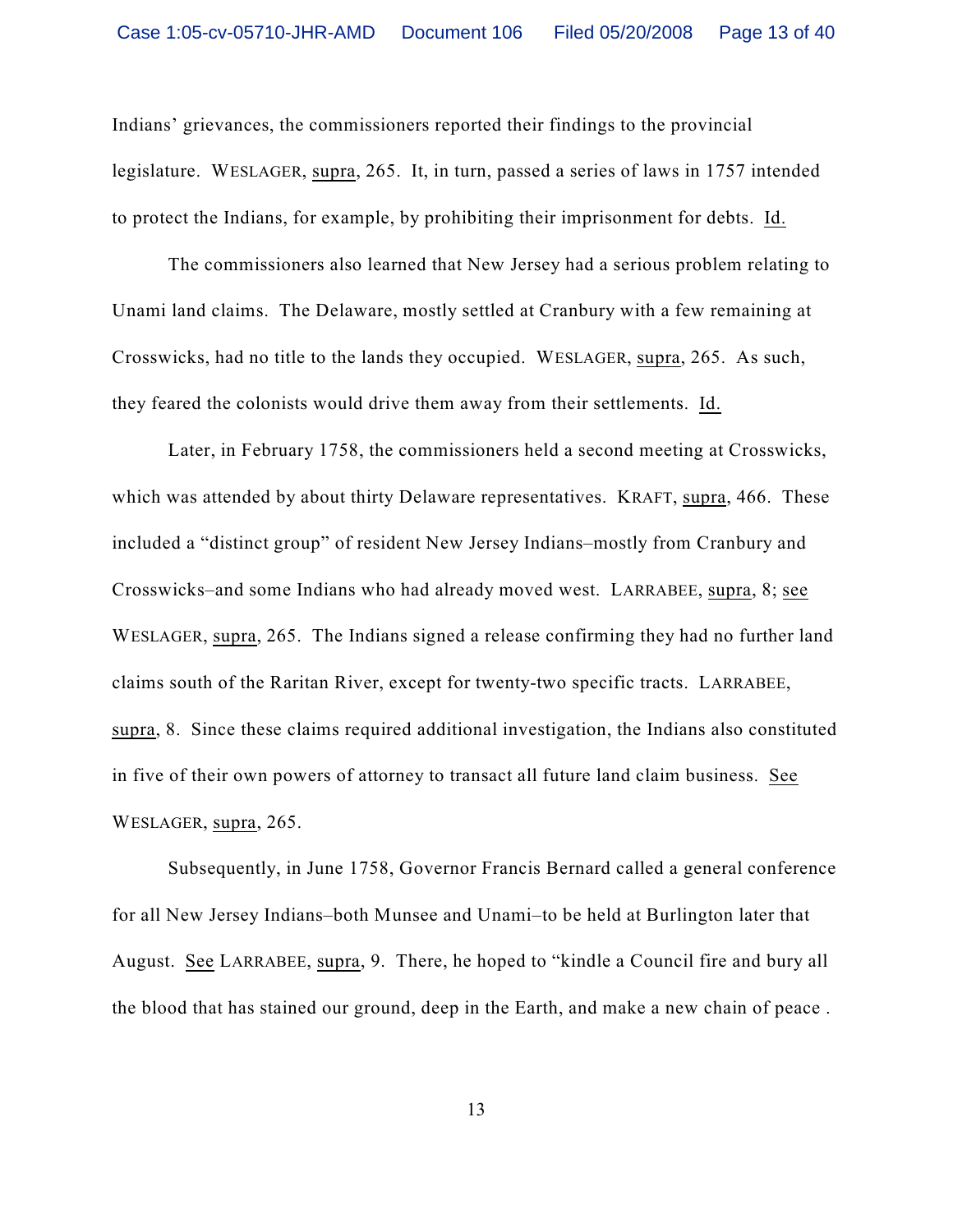Indians' grievances, the commissioners reported their findings to the provincial legislature. WESLAGER, supra, 265. It, in turn, passed a series of laws in 1757 intended to protect the Indians, for example, by prohibiting their imprisonment for debts. Id.

The commissioners also learned that New Jersey had a serious problem relating to Unami land claims. The Delaware, mostly settled at Cranbury with a few remaining at Crosswicks, had no title to the lands they occupied. WESLAGER, supra, 265. As such, they feared the colonists would drive them away from their settlements. Id.

Later, in February 1758, the commissioners held a second meeting at Crosswicks, which was attended by about thirty Delaware representatives. KRAFT, supra, 466. These included a "distinct group" of resident New Jersey Indians–mostly from Cranbury and Crosswicks–and some Indians who had already moved west. LARRABEE, supra, 8; see WESLAGER, supra, 265. The Indians signed a release confirming they had no further land claims south of the Raritan River, except for twenty-two specific tracts. LARRABEE, supra, 8. Since these claims required additional investigation, the Indians also constituted in five of their own powers of attorney to transact all future land claim business. See WESLAGER, supra, 265.

Subsequently, in June 1758, Governor Francis Bernard called a general conference for all New Jersey Indians–both Munsee and Unami–to be held at Burlington later that August. See LARRABEE, supra, 9. There, he hoped to "kindle a Council fire and bury all the blood that has stained our ground, deep in the Earth, and make a new chain of peace .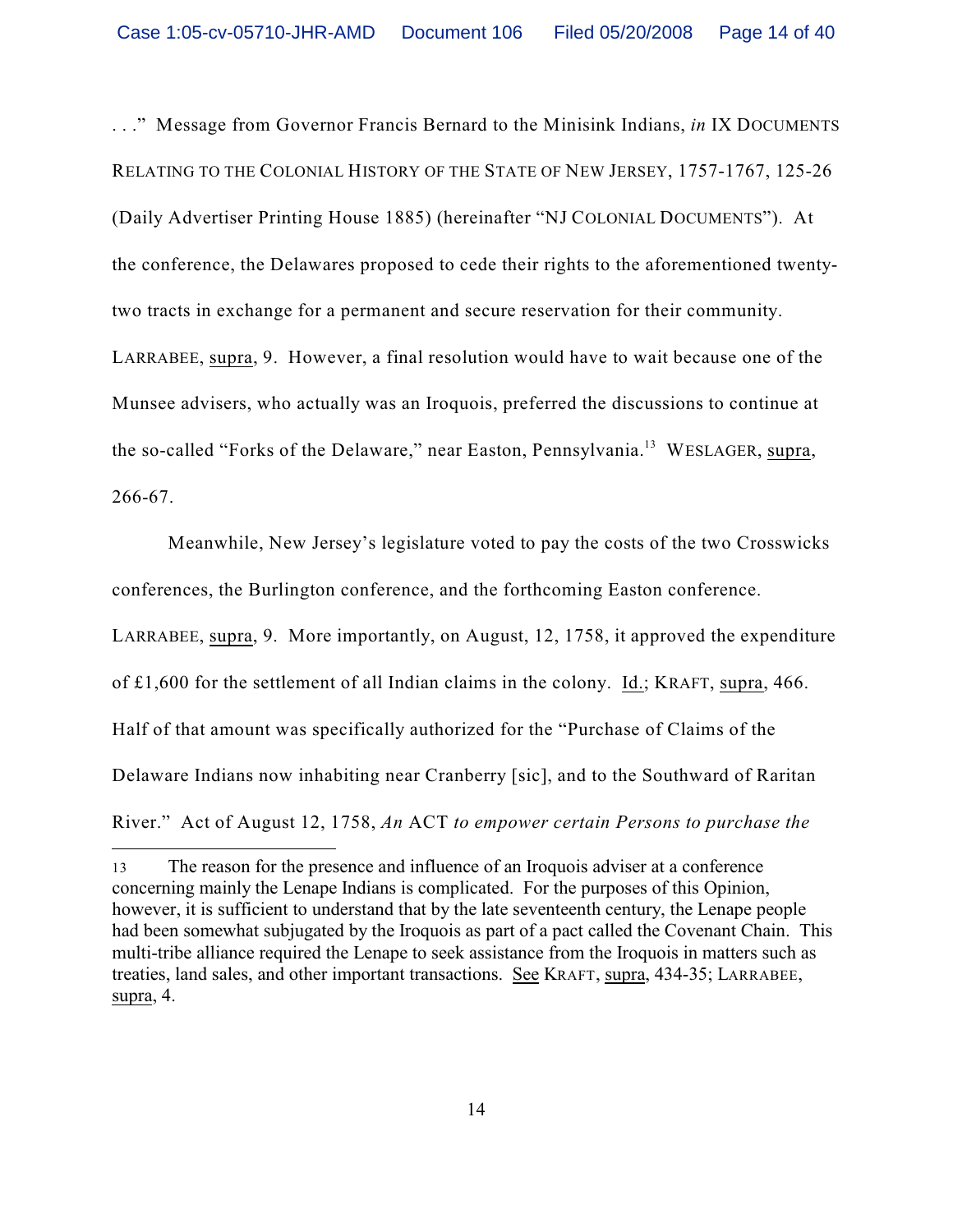. . ." Message from Governor Francis Bernard to the Minisink Indians, *in* IX DOCUMENTS RELATING TO THE COLONIAL HISTORY OF THE STATE OF NEW JERSEY, 1757-1767, 125-26 (Daily Advertiser Printing House 1885) (hereinafter "NJ COLONIAL DOCUMENTS"). At the conference, the Delawares proposed to cede their rights to the aforementioned twentytwo tracts in exchange for a permanent and secure reservation for their community. LARRABEE, supra, 9. However, a final resolution would have to wait because one of the Munsee advisers, who actually was an Iroquois, preferred the discussions to continue at the so-called "Forks of the Delaware," near Easton, Pennsylvania.<sup>13</sup> WESLAGER, supra, 266-67.

Meanwhile, New Jersey's legislature voted to pay the costs of the two Crosswicks conferences, the Burlington conference, and the forthcoming Easton conference.

LARRABEE, supra, 9. More importantly, on August, 12, 1758, it approved the expenditure

of £1,600 for the settlement of all Indian claims in the colony. Id.; KRAFT, supra, 466.

Half of that amount was specifically authorized for the "Purchase of Claims of the

Delaware Indians now inhabiting near Cranberry [sic], and to the Southward of Raritan

River." Act of August 12, 1758, *An* ACT *to empower certain Persons to purchase the*

<sup>13</sup> The reason for the presence and influence of an Iroquois adviser at a conference concerning mainly the Lenape Indians is complicated. For the purposes of this Opinion, however, it is sufficient to understand that by the late seventeenth century, the Lenape people had been somewhat subjugated by the Iroquois as part of a pact called the Covenant Chain. This multi-tribe alliance required the Lenape to seek assistance from the Iroquois in matters such as treaties, land sales, and other important transactions. See KRAFT, supra, 434-35; LARRABEE, supra, 4.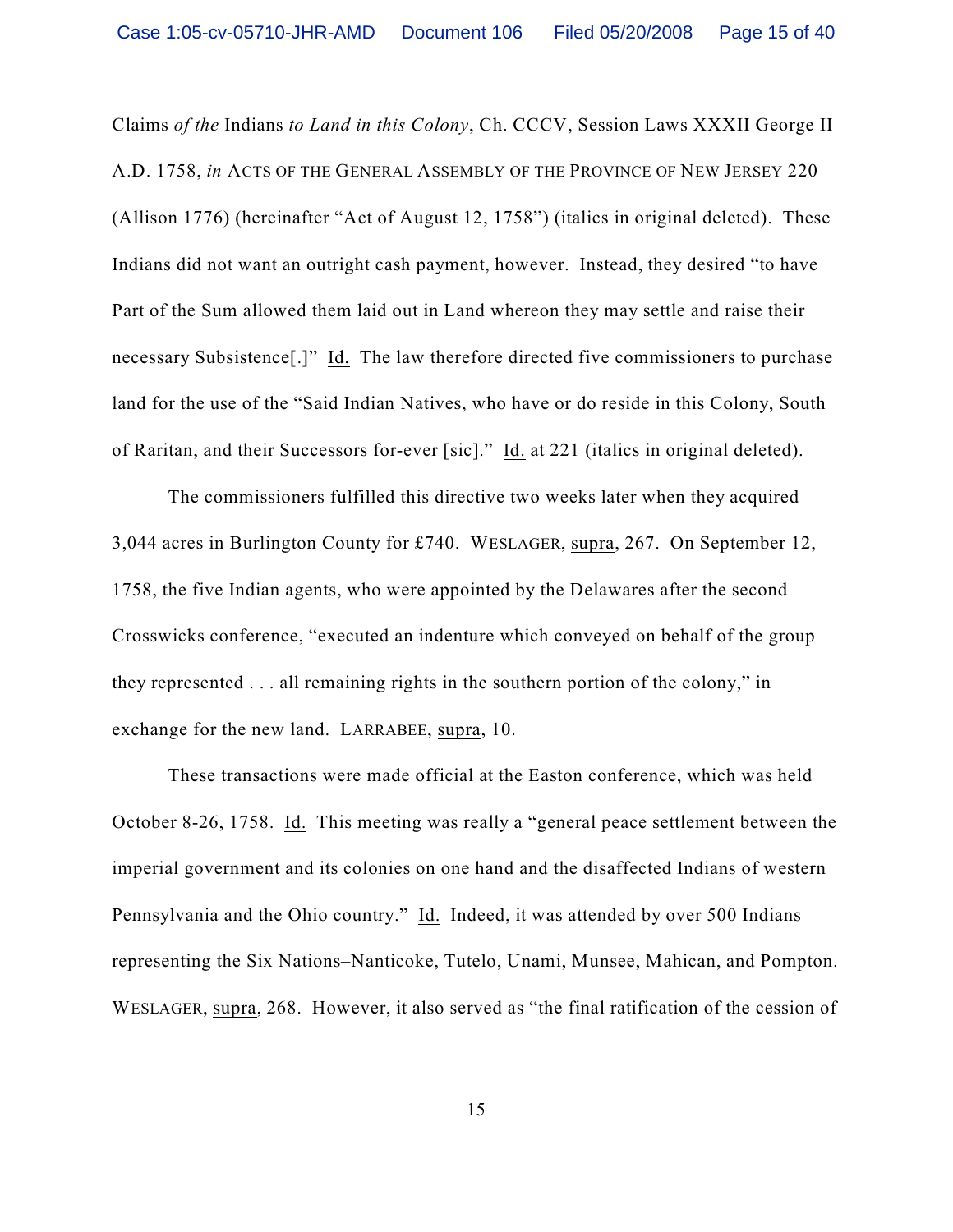Claims *of the* Indians *to Land in this Colony*, Ch. CCCV, Session Laws XXXII George II A.D. 1758, *in* ACTS OF THE GENERAL ASSEMBLY OF THE PROVINCE OF NEW JERSEY 220 (Allison 1776) (hereinafter "Act of August 12, 1758") (italics in original deleted). These Indians did not want an outright cash payment, however. Instead, they desired "to have Part of the Sum allowed them laid out in Land whereon they may settle and raise their necessary Subsistence[.]" Id. The law therefore directed five commissioners to purchase land for the use of the "Said Indian Natives, who have or do reside in this Colony, South of Raritan, and their Successors for-ever [sic]." Id. at 221 (italics in original deleted).

The commissioners fulfilled this directive two weeks later when they acquired 3,044 acres in Burlington County for £740. WESLAGER, supra, 267. On September 12, 1758, the five Indian agents, who were appointed by the Delawares after the second Crosswicks conference, "executed an indenture which conveyed on behalf of the group they represented . . . all remaining rights in the southern portion of the colony," in exchange for the new land. LARRABEE, supra, 10.

These transactions were made official at the Easton conference, which was held October 8-26, 1758. Id. This meeting was really a "general peace settlement between the imperial government and its colonies on one hand and the disaffected Indians of western Pennsylvania and the Ohio country." Id. Indeed, it was attended by over 500 Indians representing the Six Nations–Nanticoke, Tutelo, Unami, Munsee, Mahican, and Pompton. WESLAGER, supra, 268. However, it also served as "the final ratification of the cession of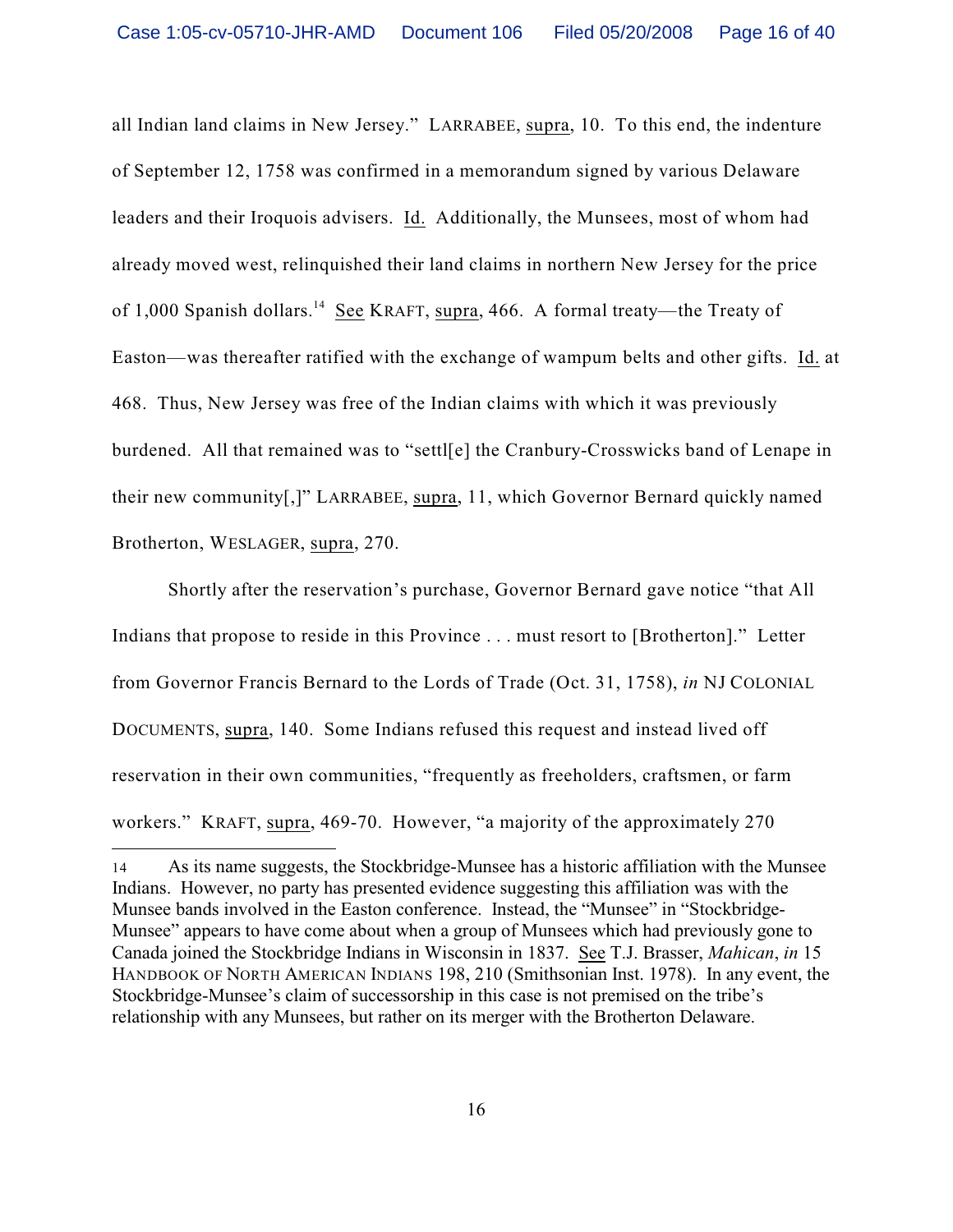all Indian land claims in New Jersey." LARRABEE, supra, 10. To this end, the indenture of September 12, 1758 was confirmed in a memorandum signed by various Delaware leaders and their Iroquois advisers. Id. Additionally, the Munsees, most of whom had already moved west, relinquished their land claims in northern New Jersey for the price of 1,000 Spanish dollars.<sup>14</sup> See KRAFT, supra, 466. A formal treaty—the Treaty of Easton—was thereafter ratified with the exchange of wampum belts and other gifts. Id. at 468. Thus, New Jersey was free of the Indian claims with which it was previously burdened. All that remained was to "settl[e] the Cranbury-Crosswicks band of Lenape in their new community[,]" LARRABEE, supra, 11, which Governor Bernard quickly named Brotherton, WESLAGER, supra, 270.

Shortly after the reservation's purchase, Governor Bernard gave notice "that All Indians that propose to reside in this Province . . . must resort to [Brotherton]." Letter from Governor Francis Bernard to the Lords of Trade (Oct. 31, 1758), *in* NJ COLONIAL DOCUMENTS, supra, 140. Some Indians refused this request and instead lived off reservation in their own communities, "frequently as freeholders, craftsmen, or farm workers." KRAFT, supra, 469-70. However, "a majority of the approximately 270

<sup>14</sup> As its name suggests, the Stockbridge-Munsee has a historic affiliation with the Munsee Indians. However, no party has presented evidence suggesting this affiliation was with the Munsee bands involved in the Easton conference. Instead, the "Munsee" in "Stockbridge-Munsee" appears to have come about when a group of Munsees which had previously gone to Canada joined the Stockbridge Indians in Wisconsin in 1837. See T.J. Brasser, *Mahican*, *in* 15 HANDBOOK OF NORTH AMERICAN INDIANS 198, 210 (Smithsonian Inst. 1978). In any event, the Stockbridge-Munsee's claim of successorship in this case is not premised on the tribe's relationship with any Munsees, but rather on its merger with the Brotherton Delaware.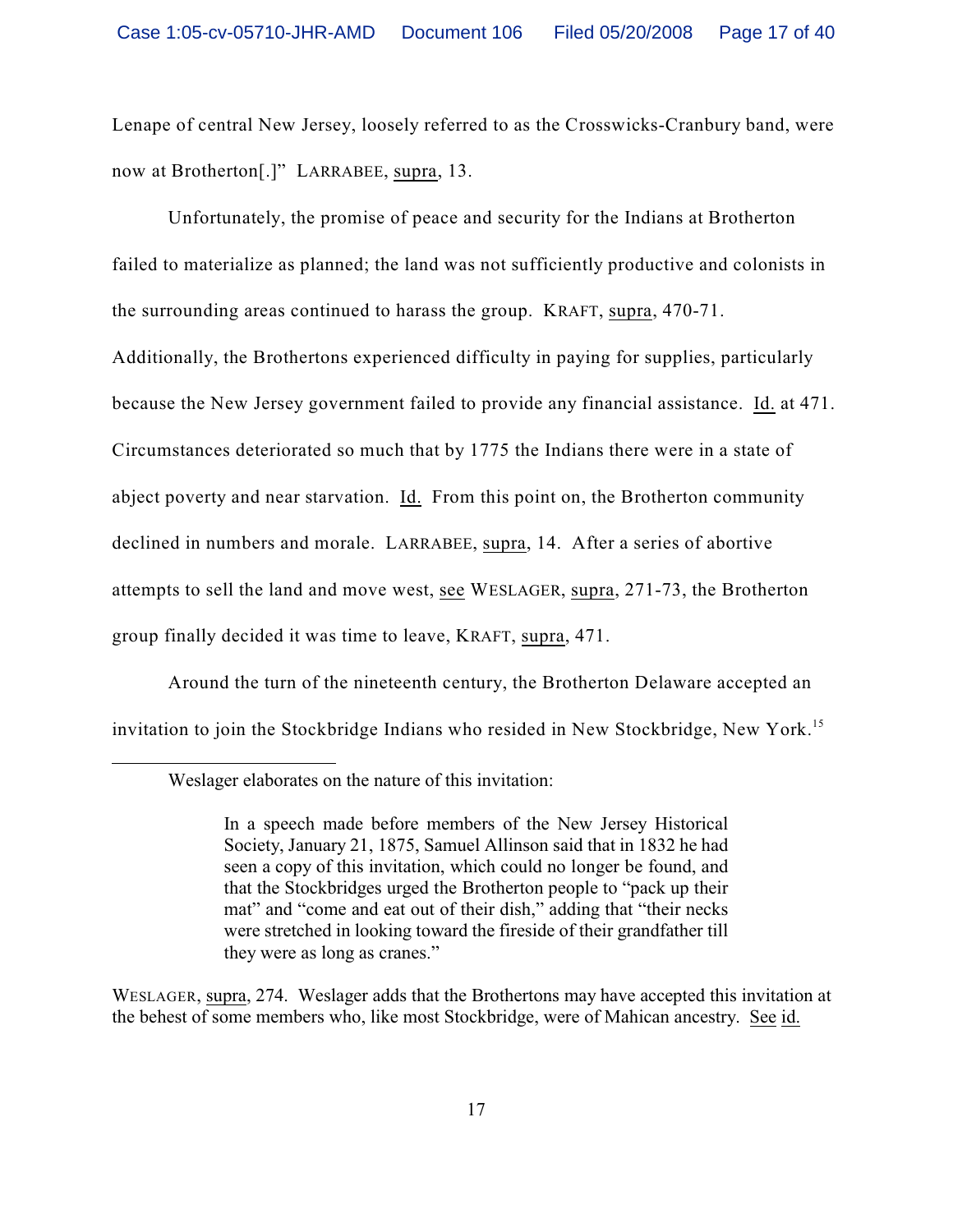Lenape of central New Jersey, loosely referred to as the Crosswicks-Cranbury band, were now at Brotherton[.]" LARRABEE, supra, 13.

Unfortunately, the promise of peace and security for the Indians at Brotherton failed to materialize as planned; the land was not sufficiently productive and colonists in the surrounding areas continued to harass the group. KRAFT, supra, 470-71. Additionally, the Brothertons experienced difficulty in paying for supplies, particularly because the New Jersey government failed to provide any financial assistance. Id. at 471. Circumstances deteriorated so much that by 1775 the Indians there were in a state of abject poverty and near starvation. Id. From this point on, the Brotherton community declined in numbers and morale. LARRABEE, supra, 14. After a series of abortive attempts to sell the land and move west, see WESLAGER, supra, 271-73, the Brotherton group finally decided it was time to leave, KRAFT, supra, 471.

Around the turn of the nineteenth century, the Brotherton Delaware accepted an invitation to join the Stockbridge Indians who resided in New Stockbridge, New York.<sup>15</sup>

WESLAGER, supra, 274. Weslager adds that the Brothertons may have accepted this invitation at the behest of some members who, like most Stockbridge, were of Mahican ancestry. See id.

Weslager elaborates on the nature of this invitation:

In a speech made before members of the New Jersey Historical Society, January 21, 1875, Samuel Allinson said that in 1832 he had seen a copy of this invitation, which could no longer be found, and that the Stockbridges urged the Brotherton people to "pack up their mat" and "come and eat out of their dish," adding that "their necks were stretched in looking toward the fireside of their grandfather till they were as long as cranes."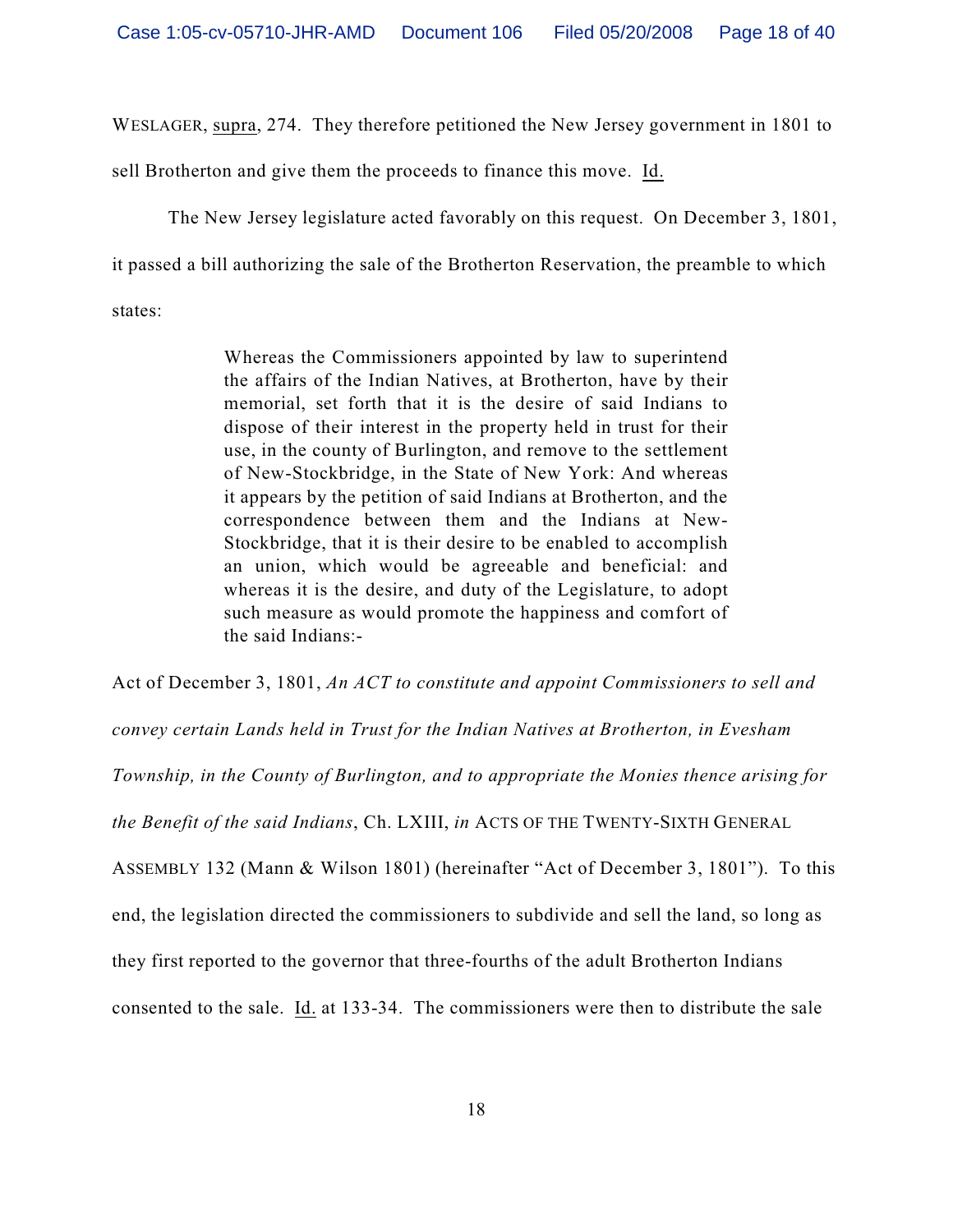WESLAGER, supra, 274. They therefore petitioned the New Jersey government in 1801 to

sell Brotherton and give them the proceeds to finance this move. Id.

The New Jersey legislature acted favorably on this request. On December 3, 1801,

it passed a bill authorizing the sale of the Brotherton Reservation, the preamble to which

states:

Whereas the Commissioners appointed by law to superintend the affairs of the Indian Natives, at Brotherton, have by their memorial, set forth that it is the desire of said Indians to dispose of their interest in the property held in trust for their use, in the county of Burlington, and remove to the settlement of New-Stockbridge, in the State of New York: And whereas it appears by the petition of said Indians at Brotherton, and the correspondence between them and the Indians at New-Stockbridge, that it is their desire to be enabled to accomplish an union, which would be agreeable and beneficial: and whereas it is the desire, and duty of the Legislature, to adopt such measure as would promote the happiness and comfort of the said Indians:-

Act of December 3, 1801, *An ACT to constitute and appoint Commissioners to sell and*

*convey certain Lands held in Trust for the Indian Natives at Brotherton, in Evesham*

*Township, in the County of Burlington, and to appropriate the Monies thence arising for*

*the Benefit of the said Indians*, Ch. LXIII, *in* ACTS OF THE TWENTY-SIXTH GENERAL

ASSEMBLY 132 (Mann & Wilson 1801) (hereinafter "Act of December 3, 1801"). To this

end, the legislation directed the commissioners to subdivide and sell the land, so long as

they first reported to the governor that three-fourths of the adult Brotherton Indians

consented to the sale. Id. at 133-34. The commissioners were then to distribute the sale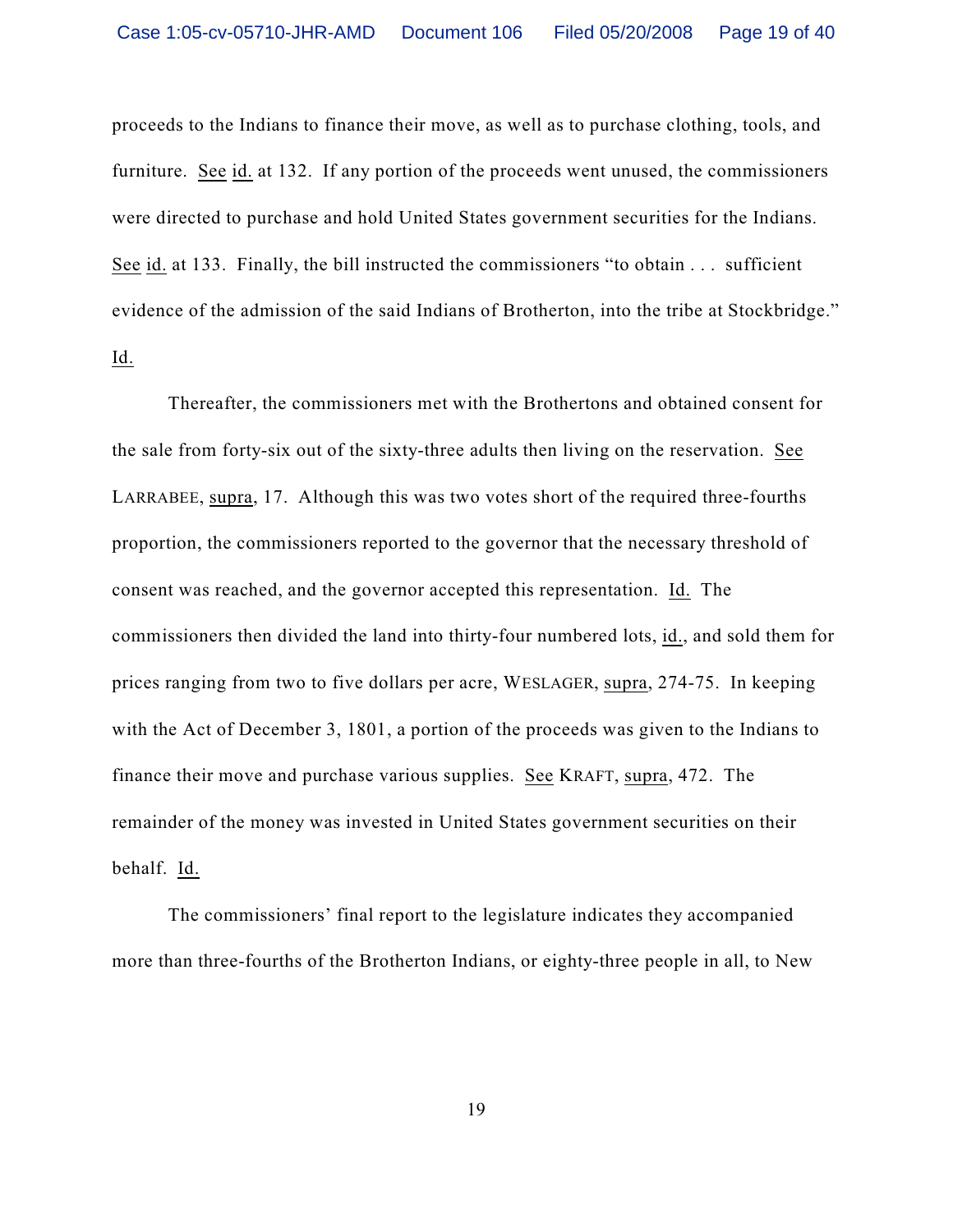proceeds to the Indians to finance their move, as well as to purchase clothing, tools, and furniture. See id. at 132. If any portion of the proceeds went unused, the commissioners were directed to purchase and hold United States government securities for the Indians. See id. at 133. Finally, the bill instructed the commissioners "to obtain . . . sufficient evidence of the admission of the said Indians of Brotherton, into the tribe at Stockbridge." Id.

Thereafter, the commissioners met with the Brothertons and obtained consent for the sale from forty-six out of the sixty-three adults then living on the reservation. See LARRABEE, supra, 17. Although this was two votes short of the required three-fourths proportion, the commissioners reported to the governor that the necessary threshold of consent was reached, and the governor accepted this representation. Id. The commissioners then divided the land into thirty-four numbered lots, id., and sold them for prices ranging from two to five dollars per acre, WESLAGER, supra, 274-75. In keeping with the Act of December 3, 1801, a portion of the proceeds was given to the Indians to finance their move and purchase various supplies. See KRAFT, supra, 472. The remainder of the money was invested in United States government securities on their behalf. Id.

The commissioners' final report to the legislature indicates they accompanied more than three-fourths of the Brotherton Indians, or eighty-three people in all, to New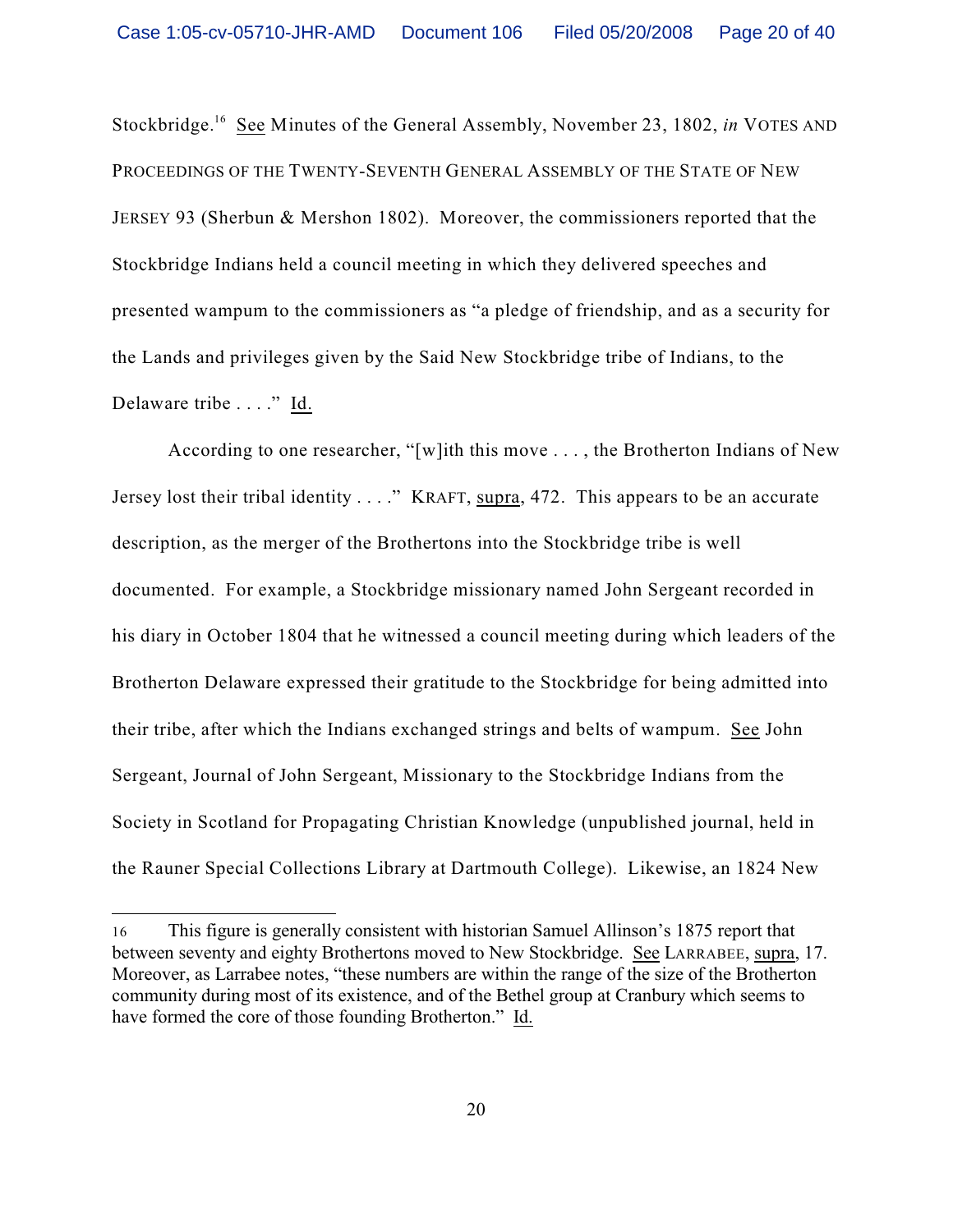Stockbridge.<sup>16</sup> See Minutes of the General Assembly, November 23, 1802, *in* VOTES AND PROCEEDINGS OF THE TWENTY-SEVENTH GENERAL ASSEMBLY OF THE STATE OF NEW JERSEY 93 (Sherbun & Mershon 1802). Moreover, the commissioners reported that the Stockbridge Indians held a council meeting in which they delivered speeches and presented wampum to the commissioners as "a pledge of friendship, and as a security for the Lands and privileges given by the Said New Stockbridge tribe of Indians, to the Delaware tribe . . . ." Id.

According to one researcher, "[w]ith this move . . . , the Brotherton Indians of New Jersey lost their tribal identity . . . ." KRAFT, supra, 472. This appears to be an accurate description, as the merger of the Brothertons into the Stockbridge tribe is well documented. For example, a Stockbridge missionary named John Sergeant recorded in his diary in October 1804 that he witnessed a council meeting during which leaders of the Brotherton Delaware expressed their gratitude to the Stockbridge for being admitted into their tribe, after which the Indians exchanged strings and belts of wampum. See John Sergeant, Journal of John Sergeant, Missionary to the Stockbridge Indians from the Society in Scotland for Propagating Christian Knowledge (unpublished journal, held in the Rauner Special Collections Library at Dartmouth College). Likewise, an 1824 New

<sup>16</sup> This figure is generally consistent with historian Samuel Allinson's 1875 report that between seventy and eighty Brothertons moved to New Stockbridge. See LARRABEE, supra, 17. Moreover, as Larrabee notes, "these numbers are within the range of the size of the Brotherton community during most of its existence, and of the Bethel group at Cranbury which seems to have formed the core of those founding Brotherton." Id.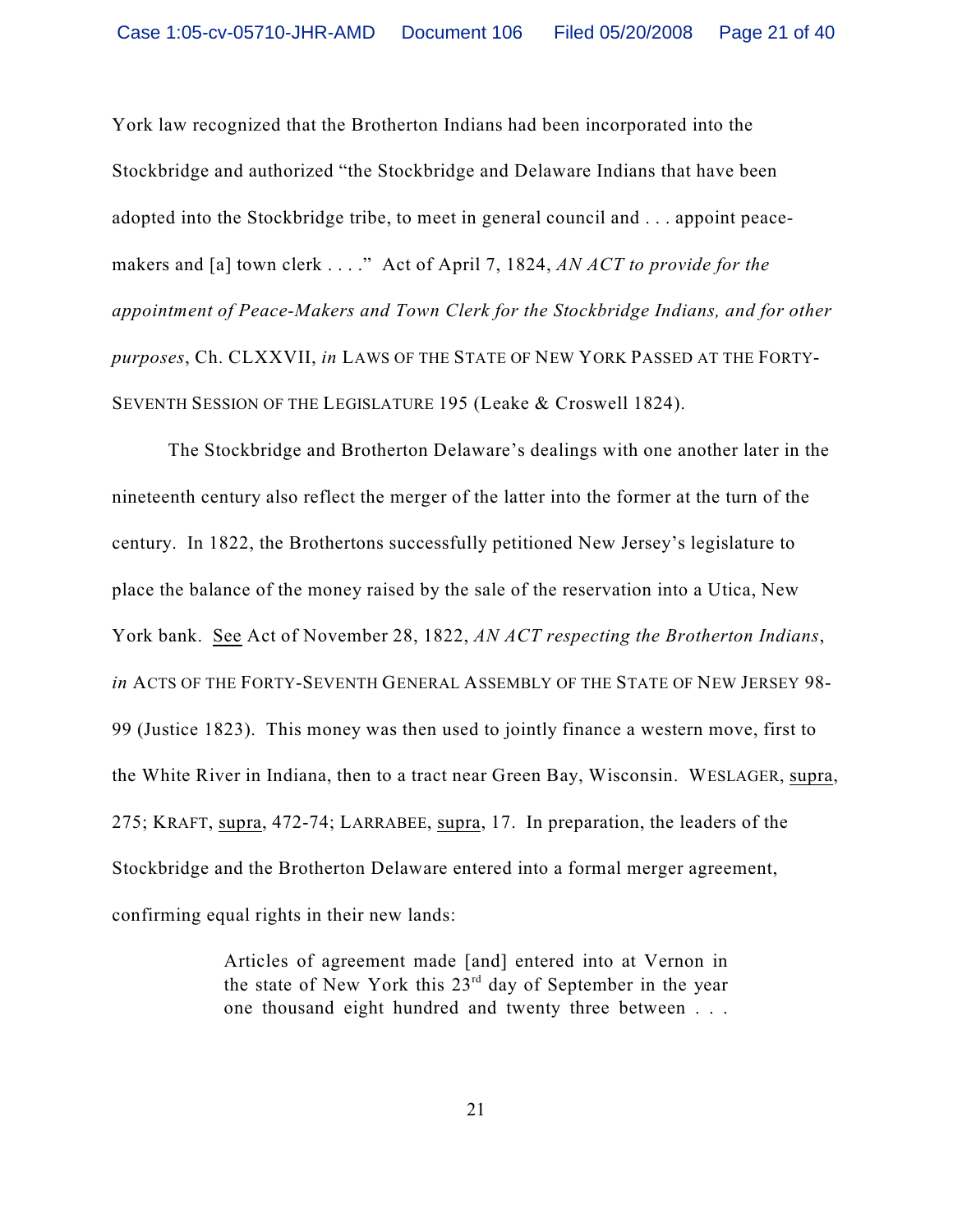York law recognized that the Brotherton Indians had been incorporated into the Stockbridge and authorized "the Stockbridge and Delaware Indians that have been adopted into the Stockbridge tribe, to meet in general council and . . . appoint peacemakers and [a] town clerk . . . ." Act of April 7, 1824, *AN ACT to provide for the appointment of Peace-Makers and Town Clerk for the Stockbridge Indians, and for other purposes*, Ch. CLXXVII, *in* LAWS OF THE STATE OF NEW YORK PASSED AT THE FORTY-SEVENTH SESSION OF THE LEGISLATURE 195 (Leake & Croswell 1824).

The Stockbridge and Brotherton Delaware's dealings with one another later in the nineteenth century also reflect the merger of the latter into the former at the turn of the century. In 1822, the Brothertons successfully petitioned New Jersey's legislature to place the balance of the money raised by the sale of the reservation into a Utica, New York bank. See Act of November 28, 1822, *AN ACT respecting the Brotherton Indians*, *in* ACTS OF THE FORTY-SEVENTH GENERAL ASSEMBLY OF THE STATE OF NEW JERSEY 98- 99 (Justice 1823). This money was then used to jointly finance a western move, first to the White River in Indiana, then to a tract near Green Bay, Wisconsin. WESLAGER, supra, 275; KRAFT, supra, 472-74; LARRABEE, supra, 17. In preparation, the leaders of the Stockbridge and the Brotherton Delaware entered into a formal merger agreement, confirming equal rights in their new lands:

> Articles of agreement made [and] entered into at Vernon in the state of New York this  $23<sup>rd</sup>$  day of September in the year one thousand eight hundred and twenty three between . . .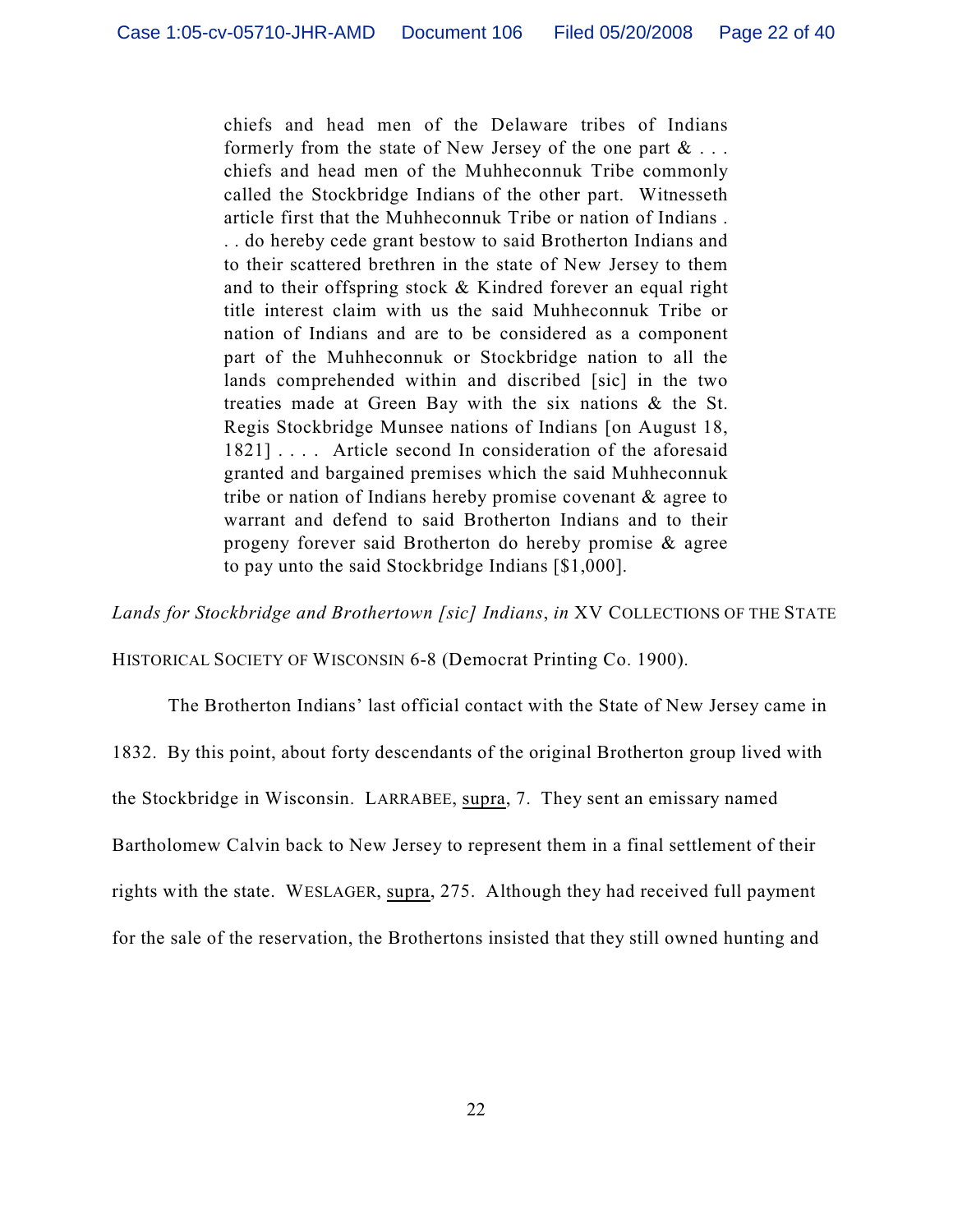chiefs and head men of the Delaware tribes of Indians formerly from the state of New Jersey of the one part  $\& \dots$ chiefs and head men of the Muhheconnuk Tribe commonly called the Stockbridge Indians of the other part. Witnesseth article first that the Muhheconnuk Tribe or nation of Indians . . . do hereby cede grant bestow to said Brotherton Indians and to their scattered brethren in the state of New Jersey to them and to their offspring stock & Kindred forever an equal right title interest claim with us the said Muhheconnuk Tribe or nation of Indians and are to be considered as a component part of the Muhheconnuk or Stockbridge nation to all the lands comprehended within and discribed [sic] in the two treaties made at Green Bay with the six nations & the St. Regis Stockbridge Munsee nations of Indians [on August 18, 1821] .... Article second In consideration of the aforesaid granted and bargained premises which the said Muhheconnuk tribe or nation of Indians hereby promise covenant & agree to warrant and defend to said Brotherton Indians and to their progeny forever said Brotherton do hereby promise & agree to pay unto the said Stockbridge Indians [\$1,000].

*Lands for Stockbridge and Brothertown [sic] Indians*, *in* XV COLLECTIONS OF THE STATE

HISTORICAL SOCIETY OF WISCONSIN 6-8 (Democrat Printing Co. 1900).

The Brotherton Indians' last official contact with the State of New Jersey came in

1832. By this point, about forty descendants of the original Brotherton group lived with

the Stockbridge in Wisconsin. LARRABEE, supra, 7. They sent an emissary named

Bartholomew Calvin back to New Jersey to represent them in a final settlement of their

rights with the state. WESLAGER, supra, 275. Although they had received full payment

for the sale of the reservation, the Brothertons insisted that they still owned hunting and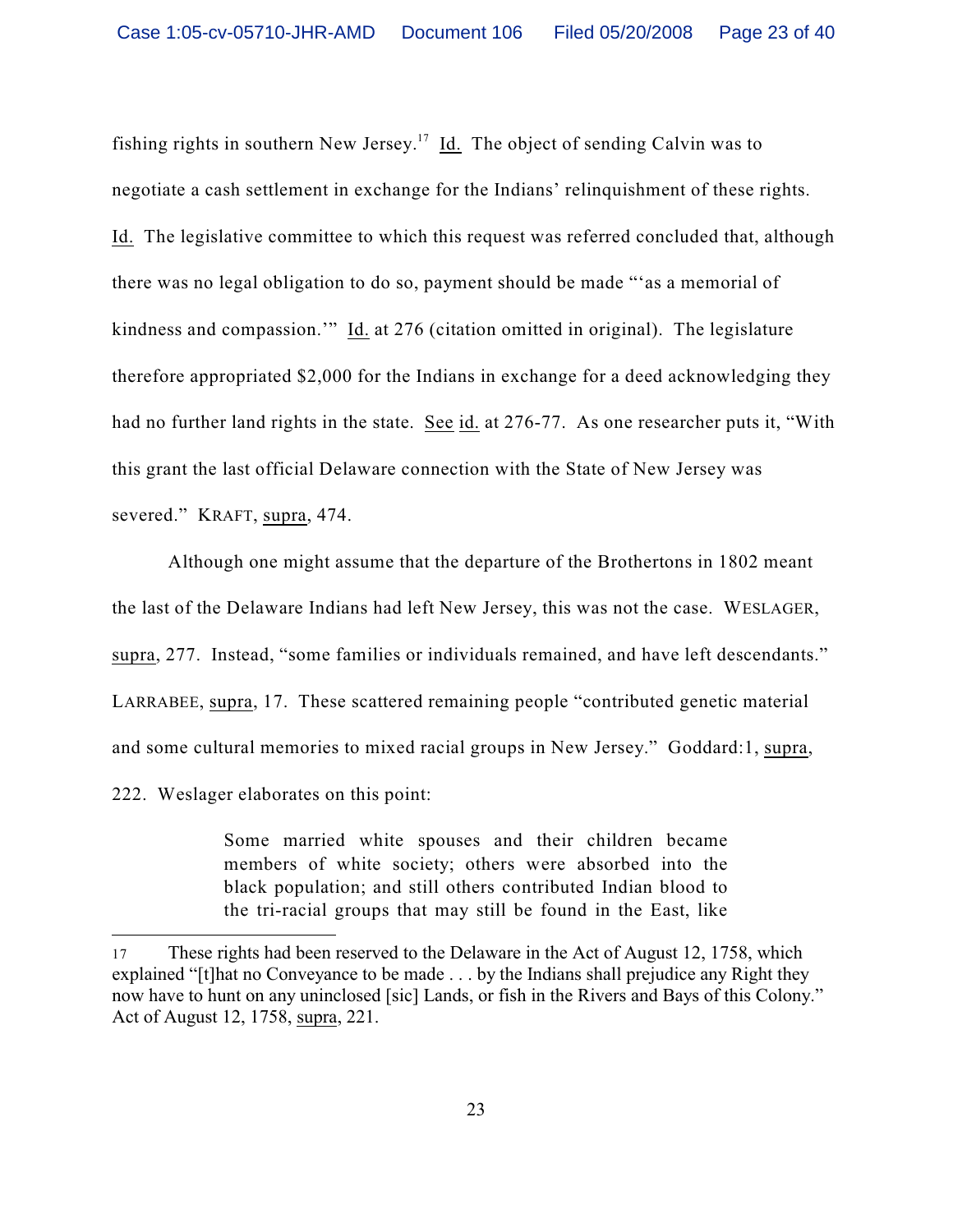fishing rights in southern New Jersey.<sup>17</sup> Id. The object of sending Calvin was to negotiate a cash settlement in exchange for the Indians' relinquishment of these rights. Id. The legislative committee to which this request was referred concluded that, although there was no legal obligation to do so, payment should be made "'as a memorial of kindness and compassion.'" Id. at 276 (citation omitted in original). The legislature therefore appropriated \$2,000 for the Indians in exchange for a deed acknowledging they had no further land rights in the state. See id. at 276-77. As one researcher puts it, "With this grant the last official Delaware connection with the State of New Jersey was severed." KRAFT, supra, 474.

Although one might assume that the departure of the Brothertons in 1802 meant the last of the Delaware Indians had left New Jersey, this was not the case. WESLAGER, supra, 277. Instead, "some families or individuals remained, and have left descendants." LARRABEE, supra, 17. These scattered remaining people "contributed genetic material and some cultural memories to mixed racial groups in New Jersey." Goddard:1, supra, 222. Weslager elaborates on this point:

> Some married white spouses and their children became members of white society; others were absorbed into the black population; and still others contributed Indian blood to the tri-racial groups that may still be found in the East, like

<sup>17</sup> These rights had been reserved to the Delaware in the Act of August 12, 1758, which explained "[t]hat no Conveyance to be made . . . by the Indians shall prejudice any Right they now have to hunt on any uninclosed [sic] Lands, or fish in the Rivers and Bays of this Colony." Act of August 12, 1758, supra, 221.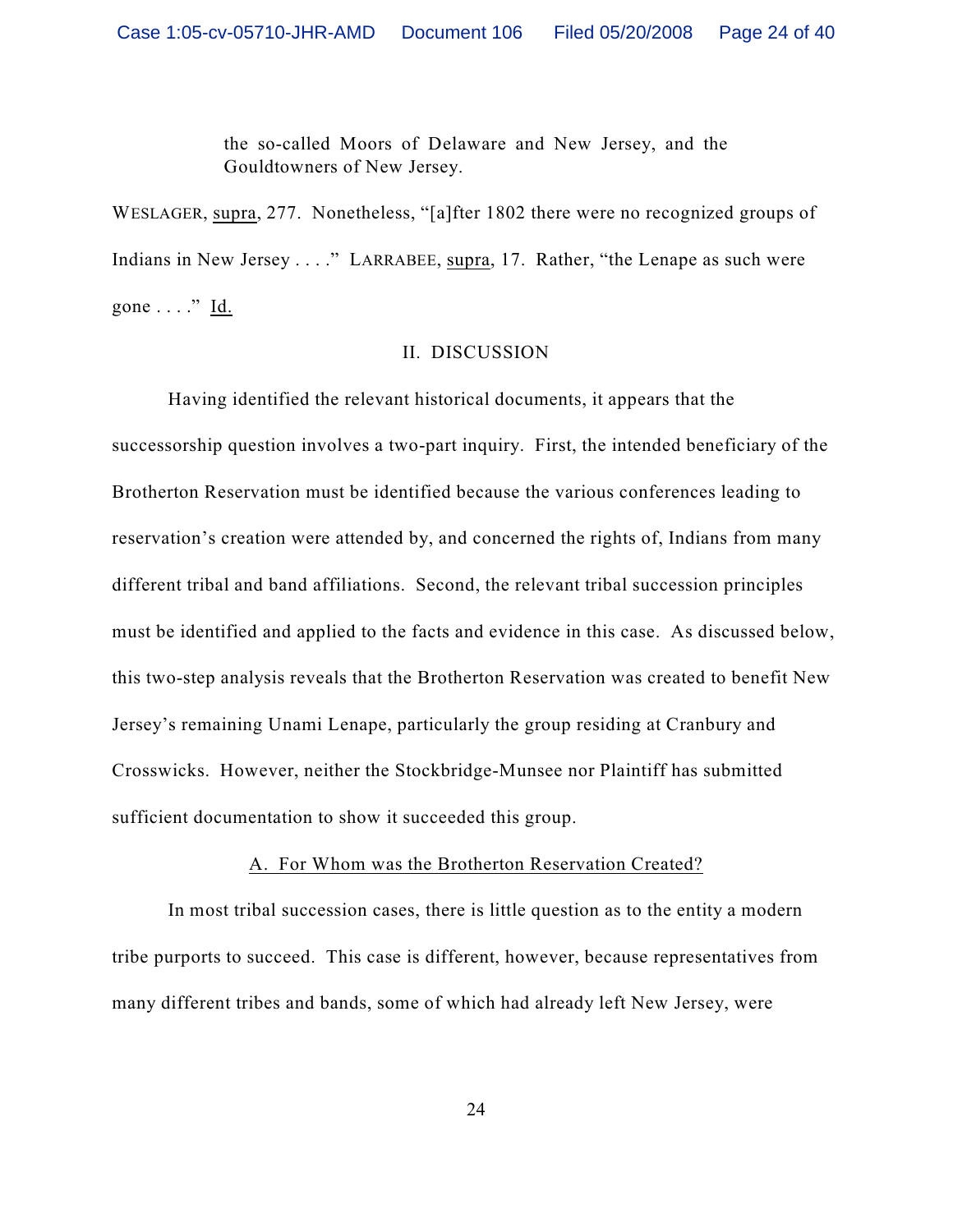the so-called Moors of Delaware and New Jersey, and the Gouldtowners of New Jersey.

WESLAGER, supra, 277. Nonetheless, "[a]fter 1802 there were no recognized groups of Indians in New Jersey . . . ." LARRABEE, supra, 17. Rather, "the Lenape as such were gone  $\dots$ ." Id.

### II. DISCUSSION

Having identified the relevant historical documents, it appears that the successorship question involves a two-part inquiry. First, the intended beneficiary of the Brotherton Reservation must be identified because the various conferences leading to reservation's creation were attended by, and concerned the rights of, Indians from many different tribal and band affiliations. Second, the relevant tribal succession principles must be identified and applied to the facts and evidence in this case. As discussed below, this two-step analysis reveals that the Brotherton Reservation was created to benefit New Jersey's remaining Unami Lenape, particularly the group residing at Cranbury and Crosswicks. However, neither the Stockbridge-Munsee nor Plaintiff has submitted sufficient documentation to show it succeeded this group.

### A. For Whom was the Brotherton Reservation Created?

In most tribal succession cases, there is little question as to the entity a modern tribe purports to succeed. This case is different, however, because representatives from many different tribes and bands, some of which had already left New Jersey, were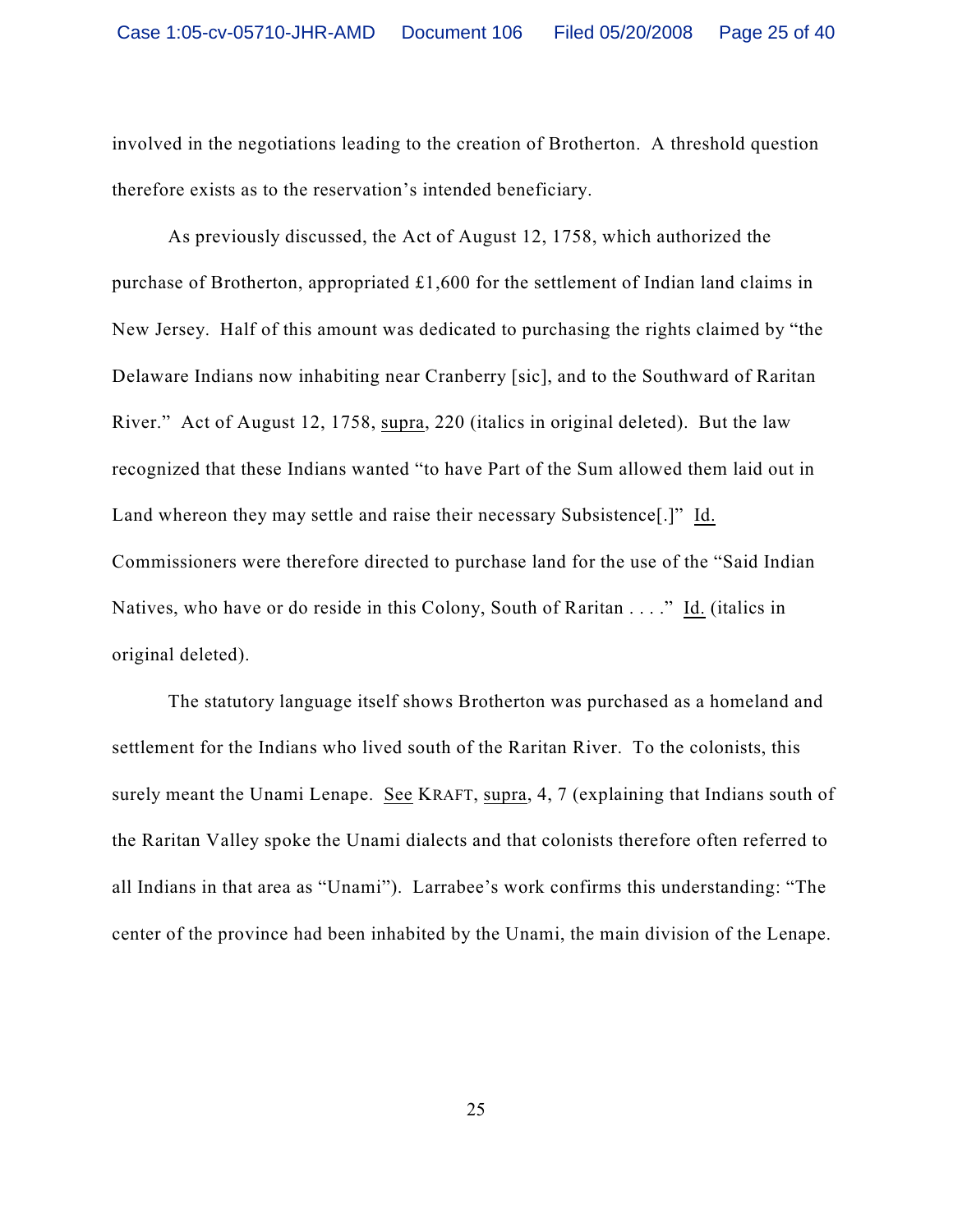involved in the negotiations leading to the creation of Brotherton. A threshold question therefore exists as to the reservation's intended beneficiary.

As previously discussed, the Act of August 12, 1758, which authorized the purchase of Brotherton, appropriated £1,600 for the settlement of Indian land claims in New Jersey. Half of this amount was dedicated to purchasing the rights claimed by "the Delaware Indians now inhabiting near Cranberry [sic], and to the Southward of Raritan River." Act of August 12, 1758, supra, 220 (italics in original deleted). But the law recognized that these Indians wanted "to have Part of the Sum allowed them laid out in Land whereon they may settle and raise their necessary Subsistence[.]" Id. Commissioners were therefore directed to purchase land for the use of the "Said Indian Natives, who have or do reside in this Colony, South of Raritan . . . ." Id. (italics in original deleted).

The statutory language itself shows Brotherton was purchased as a homeland and settlement for the Indians who lived south of the Raritan River. To the colonists, this surely meant the Unami Lenape. See KRAFT, supra, 4, 7 (explaining that Indians south of the Raritan Valley spoke the Unami dialects and that colonists therefore often referred to all Indians in that area as "Unami"). Larrabee's work confirms this understanding: "The center of the province had been inhabited by the Unami, the main division of the Lenape.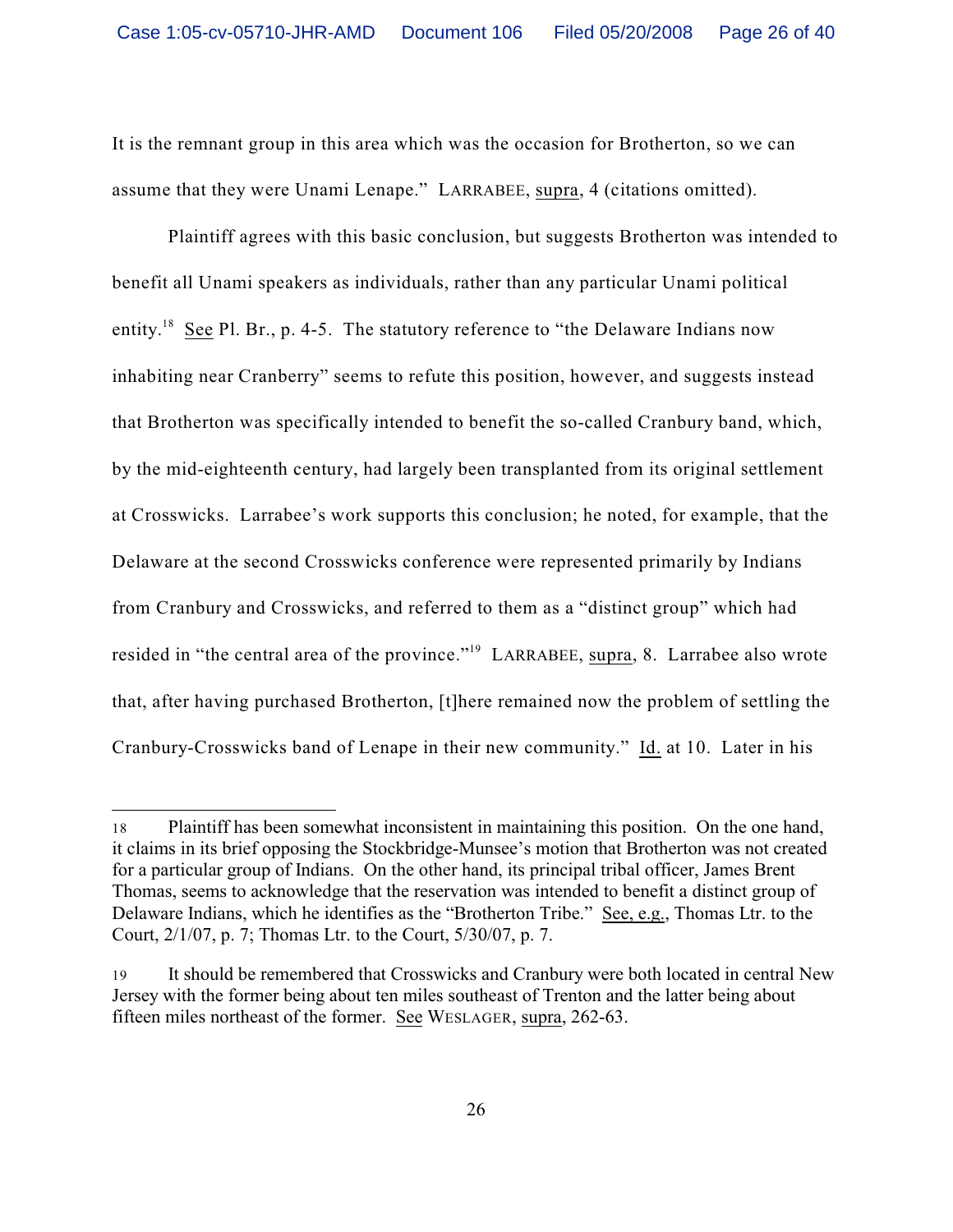It is the remnant group in this area which was the occasion for Brotherton, so we can assume that they were Unami Lenape." LARRABEE, supra, 4 (citations omitted).

Plaintiff agrees with this basic conclusion, but suggests Brotherton was intended to benefit all Unami speakers as individuals, rather than any particular Unami political entity.<sup>18</sup> See Pl. Br., p. 4-5. The statutory reference to "the Delaware Indians now inhabiting near Cranberry" seems to refute this position, however, and suggests instead that Brotherton was specifically intended to benefit the so-called Cranbury band, which, by the mid-eighteenth century, had largely been transplanted from its original settlement at Crosswicks. Larrabee's work supports this conclusion; he noted, for example, that the Delaware at the second Crosswicks conference were represented primarily by Indians from Cranbury and Crosswicks, and referred to them as a "distinct group" which had resided in "the central area of the province."<sup>19</sup> LARRABEE, supra, 8. Larrabee also wrote that, after having purchased Brotherton, [t]here remained now the problem of settling the Cranbury-Crosswicks band of Lenape in their new community." Id. at 10. Later in his

<sup>18</sup> Plaintiff has been somewhat inconsistent in maintaining this position. On the one hand, it claims in its brief opposing the Stockbridge-Munsee's motion that Brotherton was not created for a particular group of Indians. On the other hand, its principal tribal officer, James Brent Thomas, seems to acknowledge that the reservation was intended to benefit a distinct group of Delaware Indians, which he identifies as the "Brotherton Tribe." See, e.g., Thomas Ltr. to the Court, 2/1/07, p. 7; Thomas Ltr. to the Court, 5/30/07, p. 7.

<sup>19</sup> It should be remembered that Crosswicks and Cranbury were both located in central New Jersey with the former being about ten miles southeast of Trenton and the latter being about fifteen miles northeast of the former. See WESLAGER, supra, 262-63.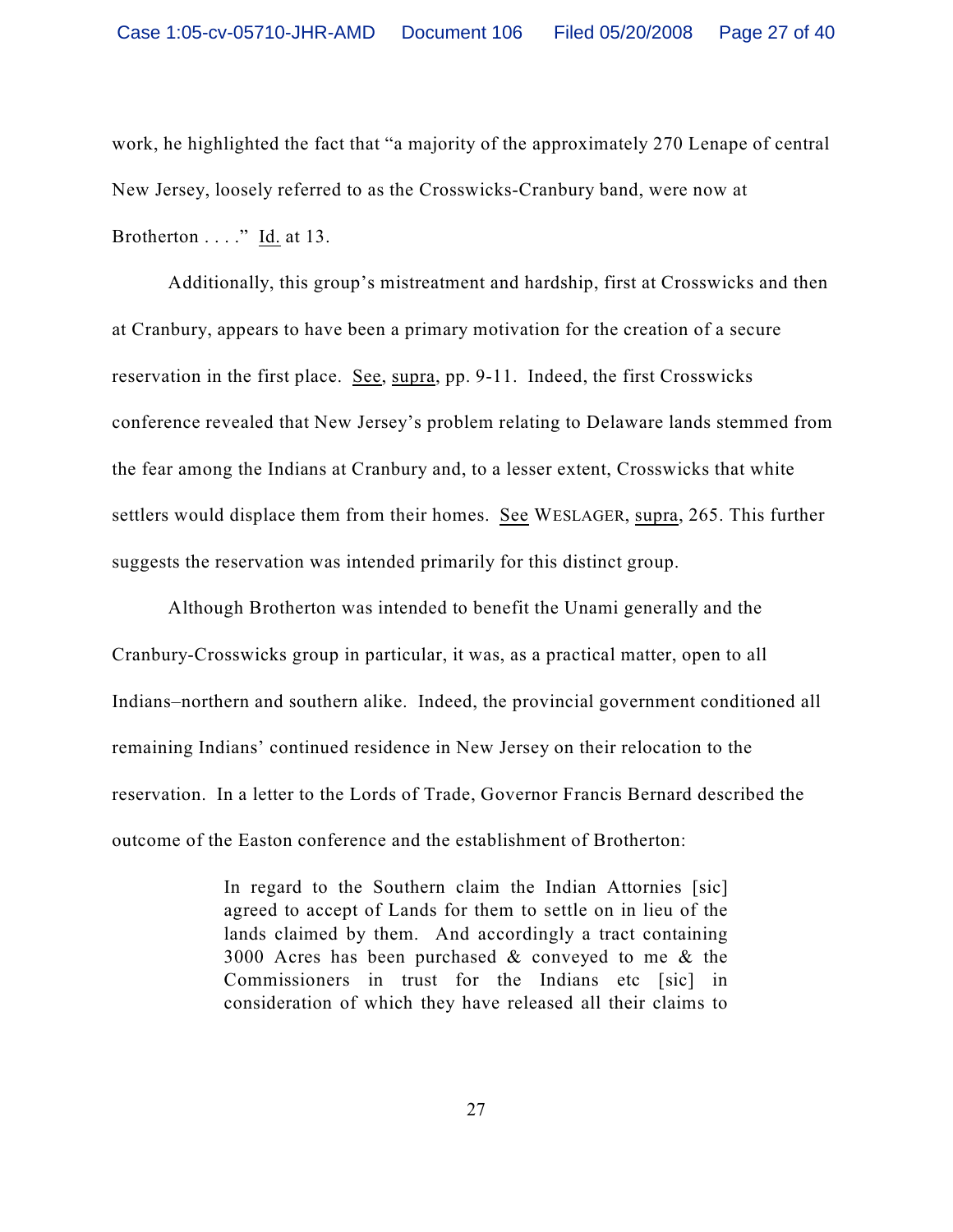work, he highlighted the fact that "a majority of the approximately 270 Lenape of central New Jersey, loosely referred to as the Crosswicks-Cranbury band, were now at Brotherton . . . ." Id. at 13.

Additionally, this group's mistreatment and hardship, first at Crosswicks and then at Cranbury, appears to have been a primary motivation for the creation of a secure reservation in the first place. See, supra, pp. 9-11. Indeed, the first Crosswicks conference revealed that New Jersey's problem relating to Delaware lands stemmed from the fear among the Indians at Cranbury and, to a lesser extent, Crosswicks that white settlers would displace them from their homes. See WESLAGER, supra, 265. This further suggests the reservation was intended primarily for this distinct group.

Although Brotherton was intended to benefit the Unami generally and the Cranbury-Crosswicks group in particular, it was, as a practical matter, open to all Indians–northern and southern alike. Indeed, the provincial government conditioned all remaining Indians' continued residence in New Jersey on their relocation to the reservation. In a letter to the Lords of Trade, Governor Francis Bernard described the outcome of the Easton conference and the establishment of Brotherton:

> In regard to the Southern claim the Indian Attornies [sic] agreed to accept of Lands for them to settle on in lieu of the lands claimed by them. And accordingly a tract containing 3000 Acres has been purchased  $\&$  conveyed to me  $\&$  the Commissioners in trust for the Indians etc [sic] in consideration of which they have released all their claims to

> > 27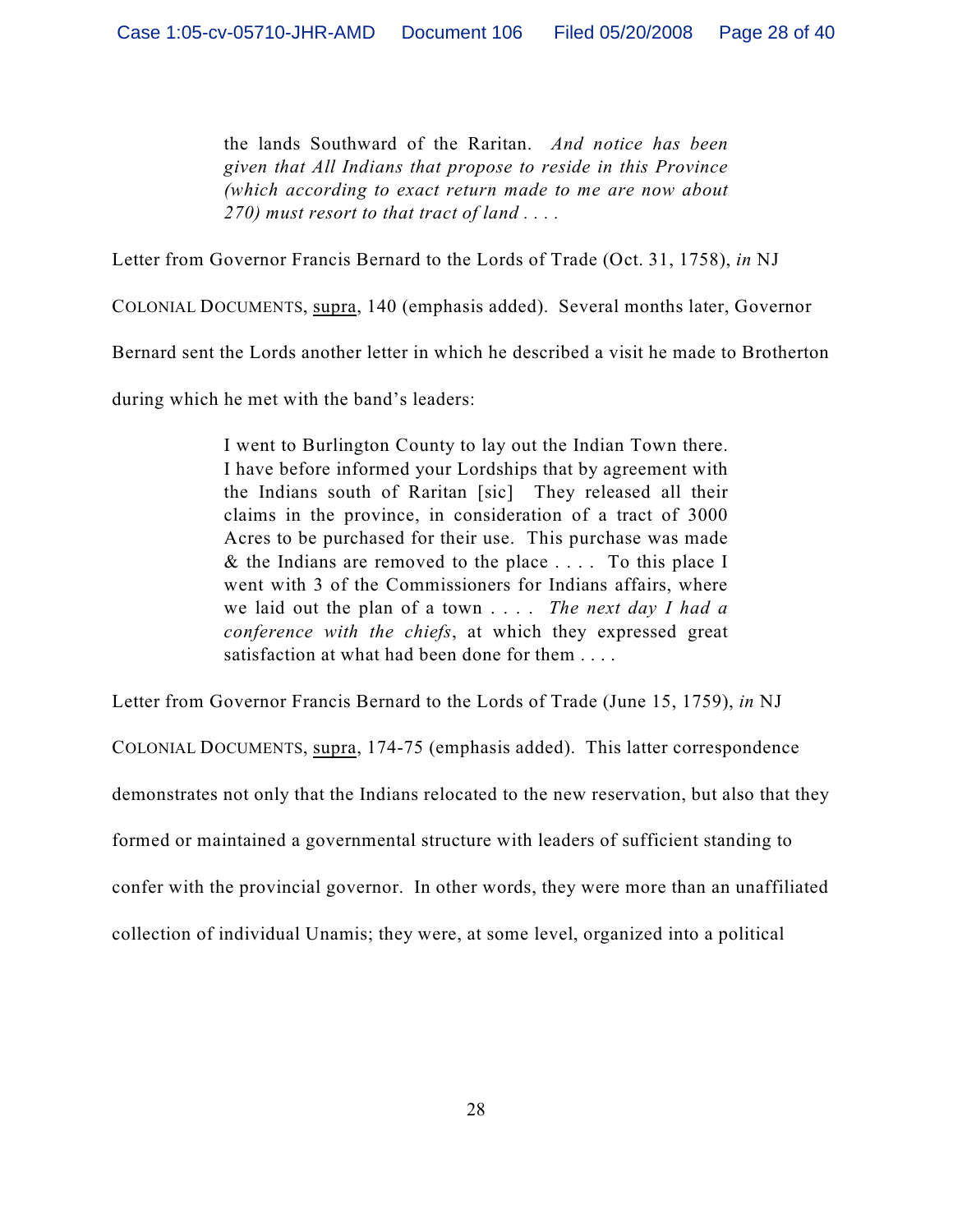the lands Southward of the Raritan. *And notice has been given that All Indians that propose to reside in this Province (which according to exact return made to me are now about 270) must resort to that tract of land . . . .*

Letter from Governor Francis Bernard to the Lords of Trade (Oct. 31, 1758), *in* NJ

COLONIAL DOCUMENTS, supra, 140 (emphasis added). Several months later, Governor

Bernard sent the Lords another letter in which he described a visit he made to Brotherton

during which he met with the band's leaders:

I went to Burlington County to lay out the Indian Town there. I have before informed your Lordships that by agreement with the Indians south of Raritan [sic] They released all their claims in the province, in consideration of a tract of 3000 Acres to be purchased for their use. This purchase was made  $&$  the Indians are removed to the place  $\ldots$ . To this place I went with 3 of the Commissioners for Indians affairs, where we laid out the plan of a town . . . . *The next day I had a conference with the chiefs*, at which they expressed great satisfaction at what had been done for them . . . .

Letter from Governor Francis Bernard to the Lords of Trade (June 15, 1759), *in* NJ

COLONIAL DOCUMENTS, supra, 174-75 (emphasis added). This latter correspondence demonstrates not only that the Indians relocated to the new reservation, but also that they formed or maintained a governmental structure with leaders of sufficient standing to confer with the provincial governor. In other words, they were more than an unaffiliated collection of individual Unamis; they were, at some level, organized into a political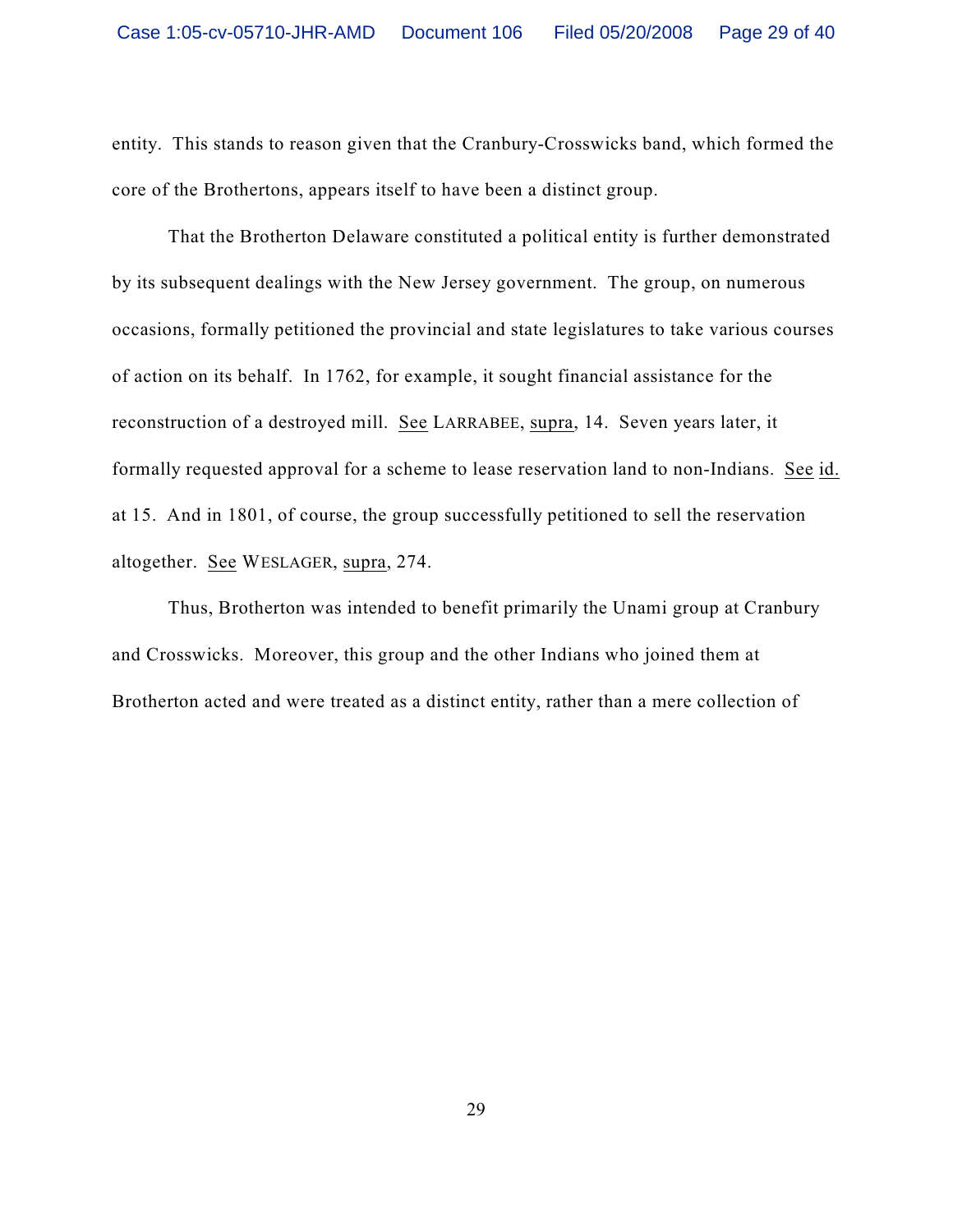entity. This stands to reason given that the Cranbury-Crosswicks band, which formed the core of the Brothertons, appears itself to have been a distinct group.

That the Brotherton Delaware constituted a political entity is further demonstrated by its subsequent dealings with the New Jersey government. The group, on numerous occasions, formally petitioned the provincial and state legislatures to take various courses of action on its behalf. In 1762, for example, it sought financial assistance for the reconstruction of a destroyed mill. See LARRABEE, supra, 14. Seven years later, it formally requested approval for a scheme to lease reservation land to non-Indians. See id. at 15. And in 1801, of course, the group successfully petitioned to sell the reservation altogether. See WESLAGER, supra, 274.

Thus, Brotherton was intended to benefit primarily the Unami group at Cranbury and Crosswicks. Moreover, this group and the other Indians who joined them at Brotherton acted and were treated as a distinct entity, rather than a mere collection of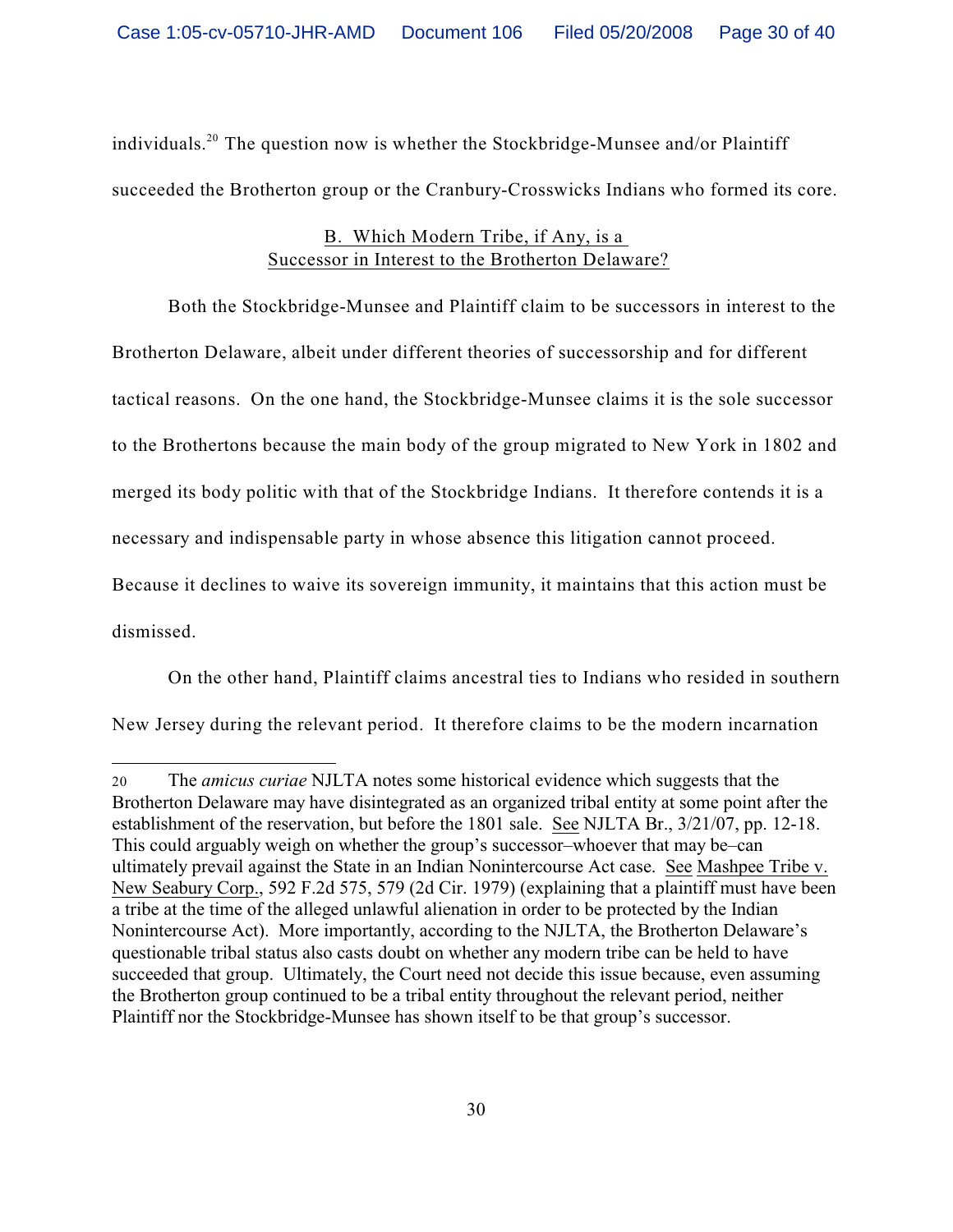individuals.<sup>20</sup> The question now is whether the Stockbridge-Munsee and/or Plaintiff succeeded the Brotherton group or the Cranbury-Crosswicks Indians who formed its core.

# B. Which Modern Tribe, if Any, is a Successor in Interest to the Brotherton Delaware?

Both the Stockbridge-Munsee and Plaintiff claim to be successors in interest to the Brotherton Delaware, albeit under different theories of successorship and for different tactical reasons. On the one hand, the Stockbridge-Munsee claims it is the sole successor to the Brothertons because the main body of the group migrated to New York in 1802 and merged its body politic with that of the Stockbridge Indians. It therefore contends it is a necessary and indispensable party in whose absence this litigation cannot proceed. Because it declines to waive its sovereign immunity, it maintains that this action must be

dismissed.

On the other hand, Plaintiff claims ancestral ties to Indians who resided in southern

New Jersey during the relevant period. It therefore claims to be the modern incarnation

<sup>20</sup> The *amicus curiae* NJLTA notes some historical evidence which suggests that the Brotherton Delaware may have disintegrated as an organized tribal entity at some point after the establishment of the reservation, but before the 1801 sale. See NJLTA Br., 3/21/07, pp. 12-18. This could arguably weigh on whether the group's successor–whoever that may be–can ultimately prevail against the State in an Indian Nonintercourse Act case. See Mashpee Tribe v. New Seabury Corp., 592 F.2d 575, 579 (2d Cir. 1979) (explaining that a plaintiff must have been a tribe at the time of the alleged unlawful alienation in order to be protected by the Indian Nonintercourse Act). More importantly, according to the NJLTA, the Brotherton Delaware's questionable tribal status also casts doubt on whether any modern tribe can be held to have succeeded that group. Ultimately, the Court need not decide this issue because, even assuming the Brotherton group continued to be a tribal entity throughout the relevant period, neither Plaintiff nor the Stockbridge-Munsee has shown itself to be that group's successor.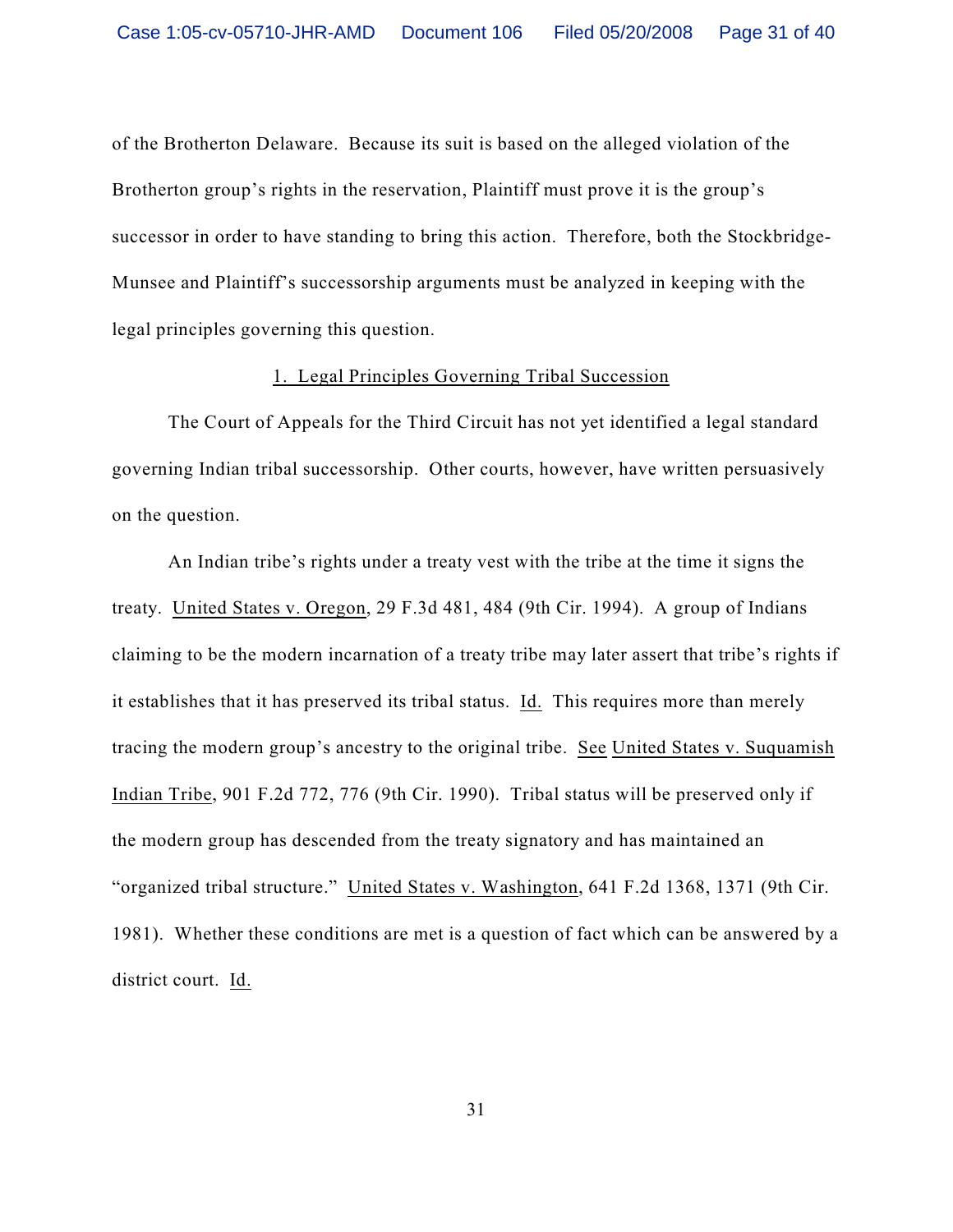of the Brotherton Delaware. Because its suit is based on the alleged violation of the Brotherton group's rights in the reservation, Plaintiff must prove it is the group's successor in order to have standing to bring this action. Therefore, both the Stockbridge-Munsee and Plaintiff's successorship arguments must be analyzed in keeping with the legal principles governing this question.

#### 1. Legal Principles Governing Tribal Succession

The Court of Appeals for the Third Circuit has not yet identified a legal standard governing Indian tribal successorship. Other courts, however, have written persuasively on the question.

An Indian tribe's rights under a treaty vest with the tribe at the time it signs the treaty. United States v. Oregon, 29 F.3d 481, 484 (9th Cir. 1994). A group of Indians claiming to be the modern incarnation of a treaty tribe may later assert that tribe's rights if it establishes that it has preserved its tribal status. Id. This requires more than merely tracing the modern group's ancestry to the original tribe. See United States v. Suquamish Indian Tribe, 901 F.2d 772, 776 (9th Cir. 1990). Tribal status will be preserved only if the modern group has descended from the treaty signatory and has maintained an "organized tribal structure." United States v. Washington, 641 F.2d 1368, 1371 (9th Cir. 1981). Whether these conditions are met is a question of fact which can be answered by a district court. Id.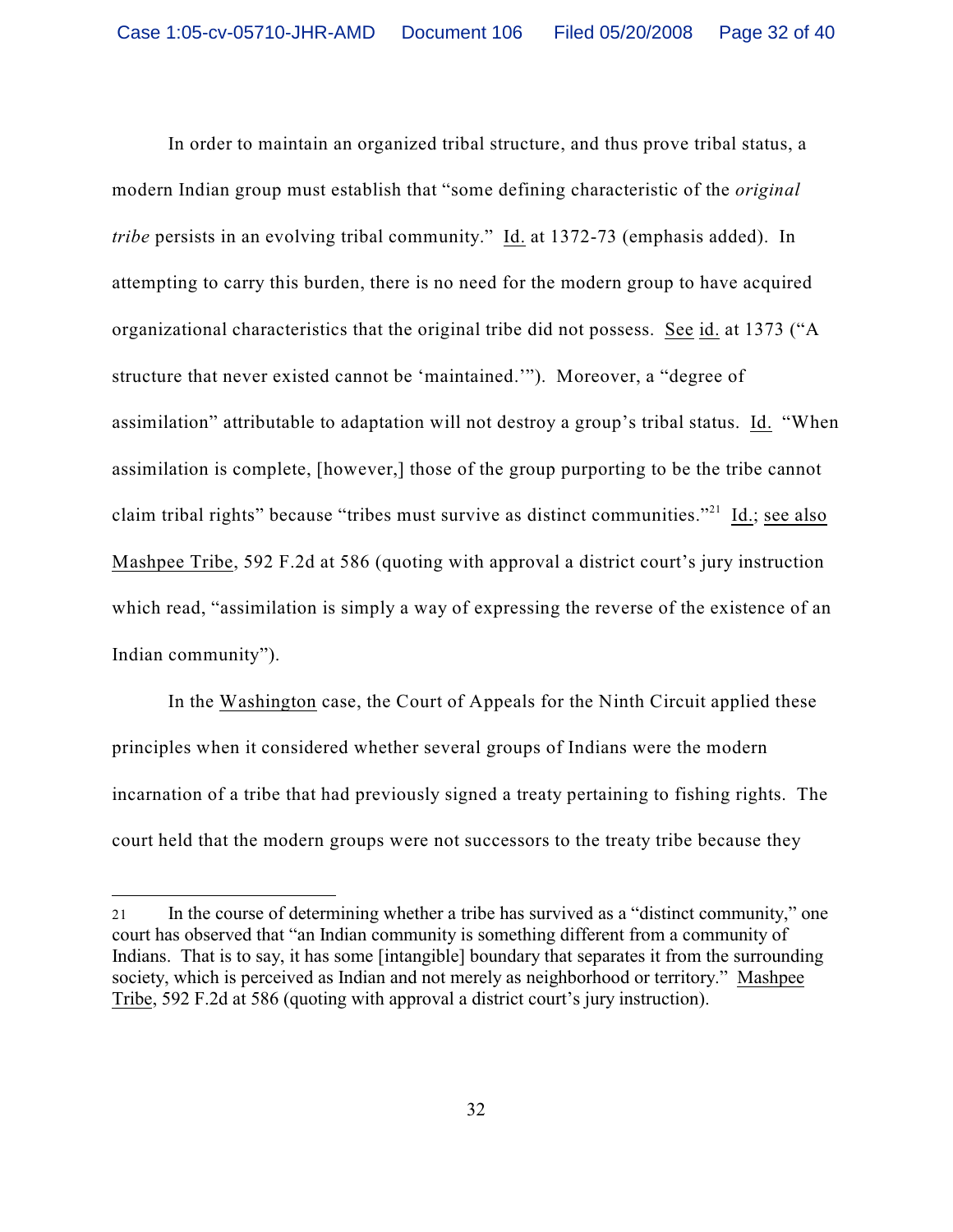In order to maintain an organized tribal structure, and thus prove tribal status, a modern Indian group must establish that "some defining characteristic of the *original tribe* persists in an evolving tribal community." Id. at 1372-73 (emphasis added). In attempting to carry this burden, there is no need for the modern group to have acquired organizational characteristics that the original tribe did not possess. See id. at 1373 ("A structure that never existed cannot be 'maintained.'"). Moreover, a "degree of assimilation" attributable to adaptation will not destroy a group's tribal status. Id. "When assimilation is complete, [however,] those of the group purporting to be the tribe cannot claim tribal rights" because "tribes must survive as distinct communities."<sup>21</sup> Id.; see also Mashpee Tribe, 592 F.2d at 586 (quoting with approval a district court's jury instruction which read, "assimilation is simply a way of expressing the reverse of the existence of an Indian community").

In the Washington case, the Court of Appeals for the Ninth Circuit applied these principles when it considered whether several groups of Indians were the modern incarnation of a tribe that had previously signed a treaty pertaining to fishing rights. The court held that the modern groups were not successors to the treaty tribe because they

<sup>21</sup> In the course of determining whether a tribe has survived as a "distinct community," one court has observed that "an Indian community is something different from a community of Indians. That is to say, it has some [intangible] boundary that separates it from the surrounding society, which is perceived as Indian and not merely as neighborhood or territory." Mashpee Tribe, 592 F.2d at 586 (quoting with approval a district court's jury instruction).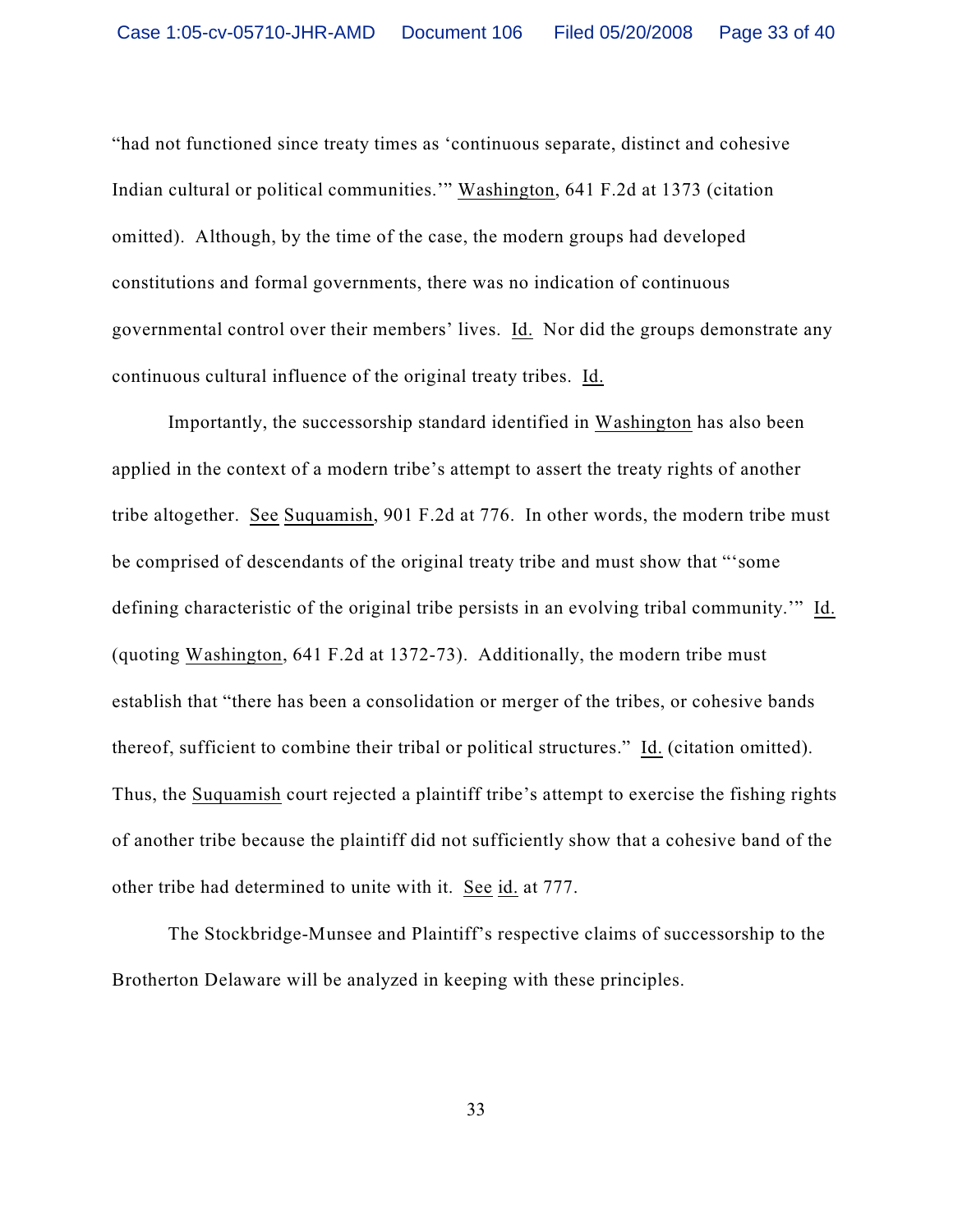"had not functioned since treaty times as 'continuous separate, distinct and cohesive Indian cultural or political communities.'" Washington, 641 F.2d at 1373 (citation omitted). Although, by the time of the case, the modern groups had developed constitutions and formal governments, there was no indication of continuous governmental control over their members' lives. Id. Nor did the groups demonstrate any continuous cultural influence of the original treaty tribes. Id.

Importantly, the successorship standard identified in Washington has also been applied in the context of a modern tribe's attempt to assert the treaty rights of another tribe altogether. See Suquamish, 901 F.2d at 776. In other words, the modern tribe must be comprised of descendants of the original treaty tribe and must show that "'some defining characteristic of the original tribe persists in an evolving tribal community.'" Id. (quoting Washington, 641 F.2d at 1372-73). Additionally, the modern tribe must establish that "there has been a consolidation or merger of the tribes, or cohesive bands thereof, sufficient to combine their tribal or political structures." Id. (citation omitted). Thus, the Suquamish court rejected a plaintiff tribe's attempt to exercise the fishing rights of another tribe because the plaintiff did not sufficiently show that a cohesive band of the other tribe had determined to unite with it. See id. at 777.

The Stockbridge-Munsee and Plaintiff's respective claims of successorship to the Brotherton Delaware will be analyzed in keeping with these principles.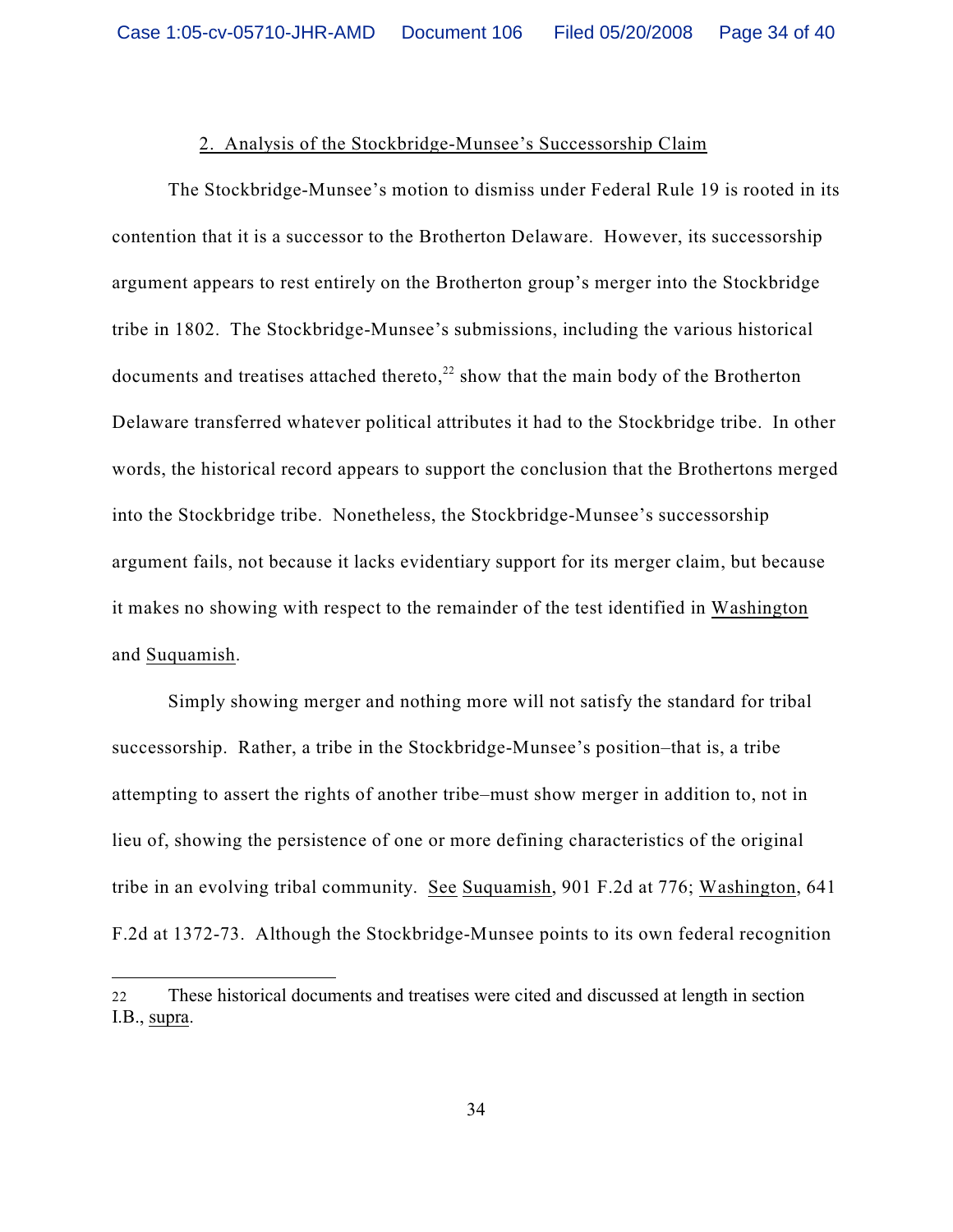#### 2. Analysis of the Stockbridge-Munsee's Successorship Claim

The Stockbridge-Munsee's motion to dismiss under Federal Rule 19 is rooted in its contention that it is a successor to the Brotherton Delaware. However, its successorship argument appears to rest entirely on the Brotherton group's merger into the Stockbridge tribe in 1802. The Stockbridge-Munsee's submissions, including the various historical documents and treatises attached thereto, $^{22}$  show that the main body of the Brotherton Delaware transferred whatever political attributes it had to the Stockbridge tribe. In other words, the historical record appears to support the conclusion that the Brothertons merged into the Stockbridge tribe. Nonetheless, the Stockbridge-Munsee's successorship argument fails, not because it lacks evidentiary support for its merger claim, but because it makes no showing with respect to the remainder of the test identified in Washington and Suquamish.

Simply showing merger and nothing more will not satisfy the standard for tribal successorship. Rather, a tribe in the Stockbridge-Munsee's position–that is, a tribe attempting to assert the rights of another tribe–must show merger in addition to, not in lieu of, showing the persistence of one or more defining characteristics of the original tribe in an evolving tribal community. See Suquamish, 901 F.2d at 776; Washington, 641 F.2d at 1372-73. Although the Stockbridge-Munsee points to its own federal recognition

<sup>22</sup> These historical documents and treatises were cited and discussed at length in section I.B., supra.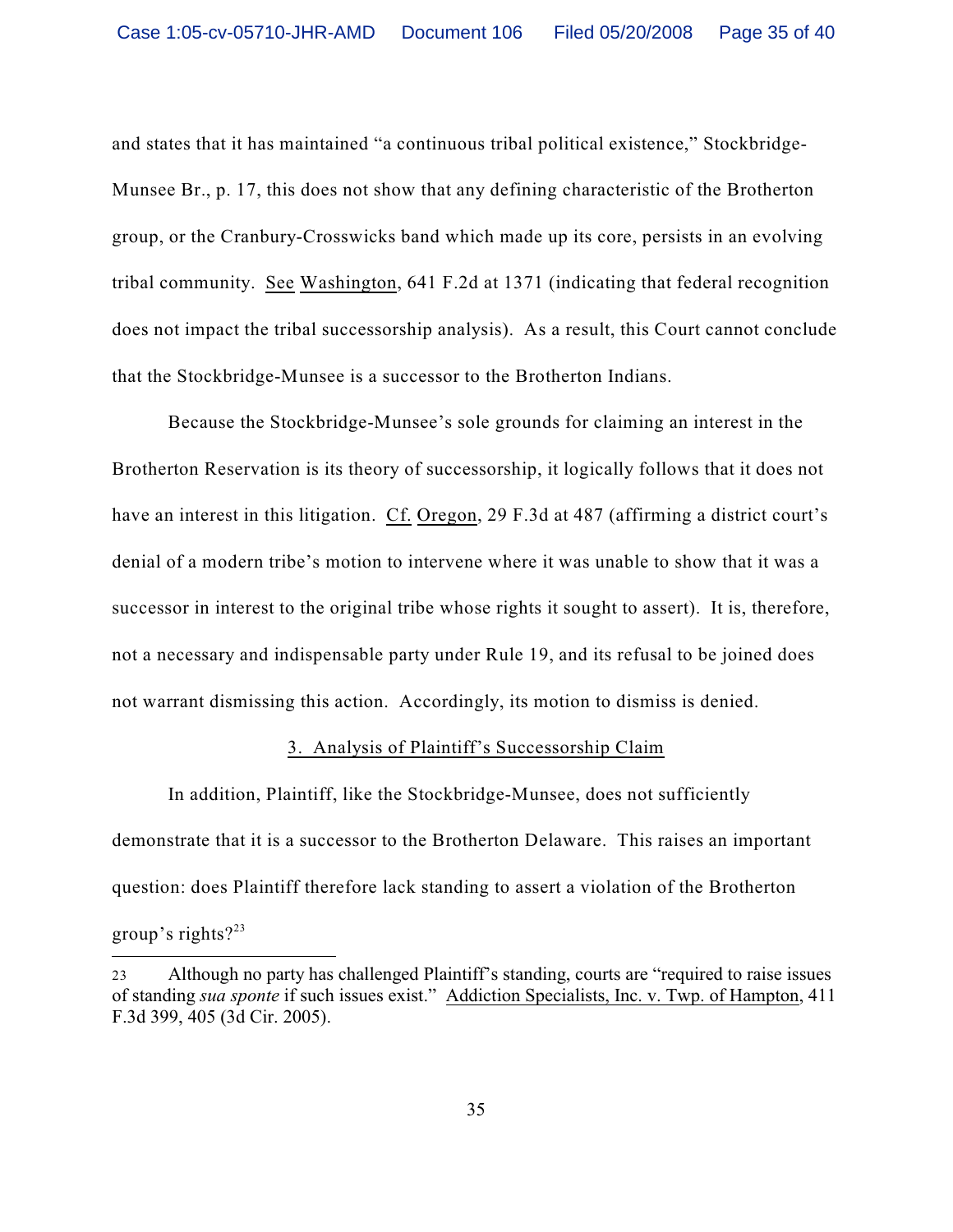and states that it has maintained "a continuous tribal political existence," Stockbridge-Munsee Br., p. 17, this does not show that any defining characteristic of the Brotherton group, or the Cranbury-Crosswicks band which made up its core, persists in an evolving tribal community. See Washington, 641 F.2d at 1371 (indicating that federal recognition does not impact the tribal successorship analysis). As a result, this Court cannot conclude that the Stockbridge-Munsee is a successor to the Brotherton Indians.

Because the Stockbridge-Munsee's sole grounds for claiming an interest in the Brotherton Reservation is its theory of successorship, it logically follows that it does not have an interest in this litigation. Cf. Oregon, 29 F.3d at 487 (affirming a district court's denial of a modern tribe's motion to intervene where it was unable to show that it was a successor in interest to the original tribe whose rights it sought to assert). It is, therefore, not a necessary and indispensable party under Rule 19, and its refusal to be joined does not warrant dismissing this action. Accordingly, its motion to dismiss is denied.

#### 3. Analysis of Plaintiff's Successorship Claim

In addition, Plaintiff, like the Stockbridge-Munsee, does not sufficiently demonstrate that it is a successor to the Brotherton Delaware. This raises an important question: does Plaintiff therefore lack standing to assert a violation of the Brotherton group's rights? $23$ 

<sup>23</sup> Although no party has challenged Plaintiff's standing, courts are "required to raise issues of standing *sua sponte* if such issues exist." Addiction Specialists, Inc. v. Twp. of Hampton, 411 F.3d 399, 405 (3d Cir. 2005).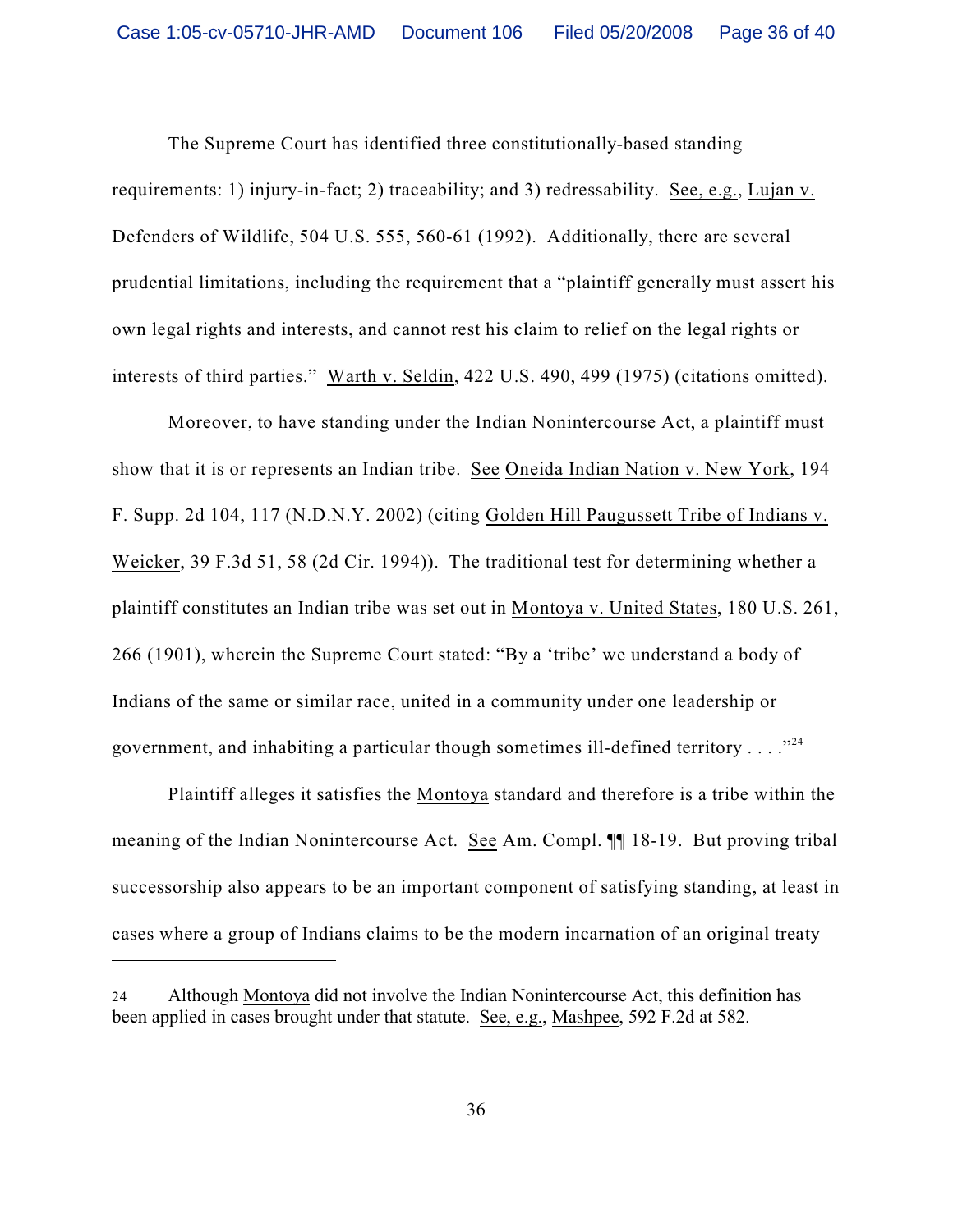The Supreme Court has identified three constitutionally-based standing requirements: 1) injury-in-fact; 2) traceability; and 3) redressability. See, e.g., Lujan v. Defenders of Wildlife, 504 U.S. 555, 560-61 (1992). Additionally, there are several prudential limitations, including the requirement that a "plaintiff generally must assert his own legal rights and interests, and cannot rest his claim to relief on the legal rights or interests of third parties." Warth v. Seldin, 422 U.S. 490, 499 (1975) (citations omitted).

Moreover, to have standing under the Indian Nonintercourse Act, a plaintiff must show that it is or represents an Indian tribe. See Oneida Indian Nation v. New York, 194 F. Supp. 2d 104, 117 (N.D.N.Y. 2002) (citing Golden Hill Paugussett Tribe of Indians v. Weicker, 39 F.3d 51, 58 (2d Cir. 1994)). The traditional test for determining whether a plaintiff constitutes an Indian tribe was set out in Montoya v. United States, 180 U.S. 261, 266 (1901), wherein the Supreme Court stated: "By a 'tribe' we understand a body of Indians of the same or similar race, united in a community under one leadership or government, and inhabiting a particular though sometimes ill-defined territory  $\dots$ ."<sup>24</sup>

Plaintiff alleges it satisfies the Montoya standard and therefore is a tribe within the meaning of the Indian Nonintercourse Act. See Am. Compl. ¶¶ 18-19. But proving tribal successorship also appears to be an important component of satisfying standing, at least in cases where a group of Indians claims to be the modern incarnation of an original treaty

<sup>24</sup> Although Montoya did not involve the Indian Nonintercourse Act, this definition has been applied in cases brought under that statute. See, e.g., Mashpee, 592 F.2d at 582.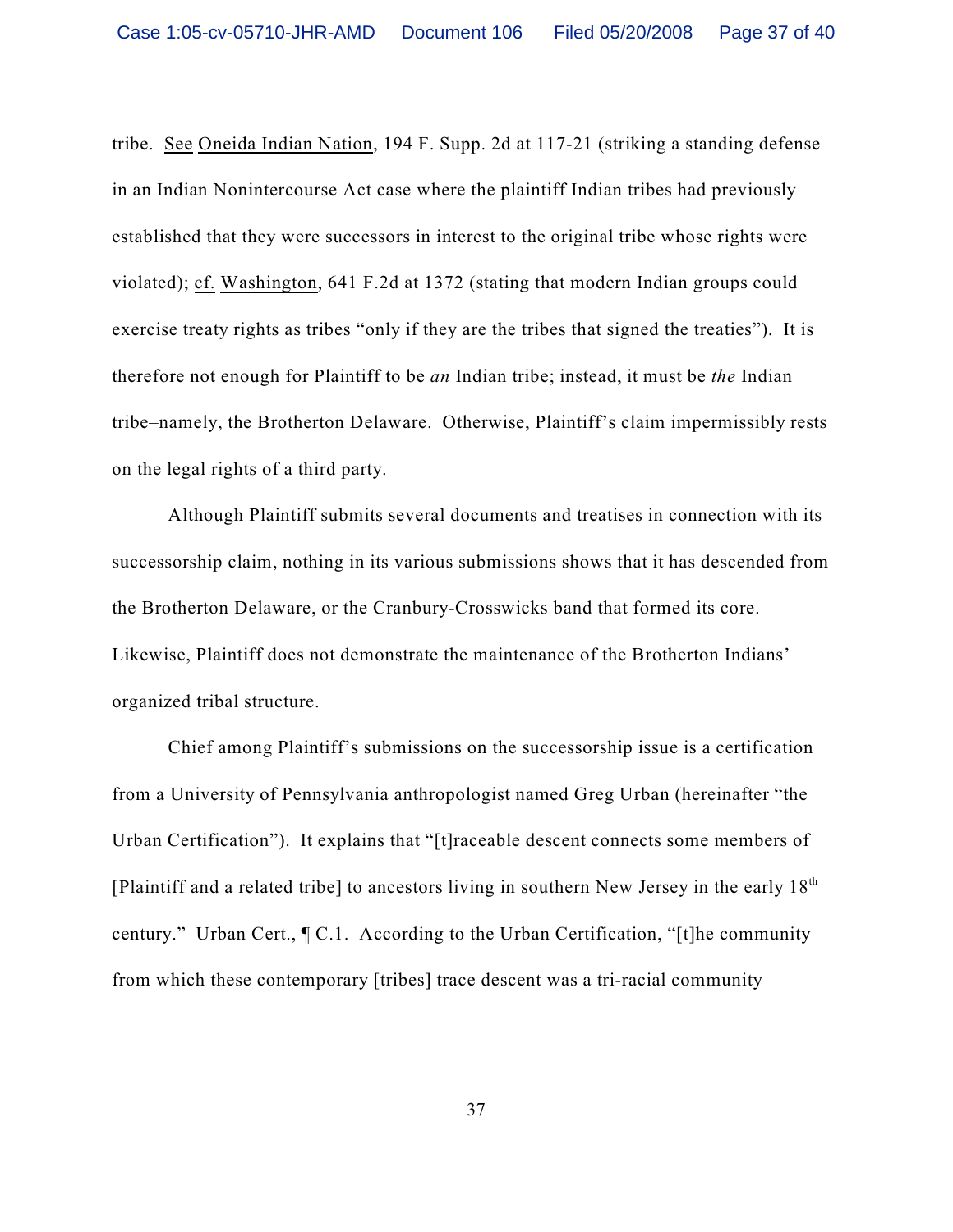tribe. See Oneida Indian Nation, 194 F. Supp. 2d at 117-21 (striking a standing defense in an Indian Nonintercourse Act case where the plaintiff Indian tribes had previously established that they were successors in interest to the original tribe whose rights were violated); cf. Washington, 641 F.2d at 1372 (stating that modern Indian groups could exercise treaty rights as tribes "only if they are the tribes that signed the treaties"). It is therefore not enough for Plaintiff to be *an* Indian tribe; instead, it must be *the* Indian tribe–namely, the Brotherton Delaware. Otherwise, Plaintiff's claim impermissibly rests on the legal rights of a third party.

Although Plaintiff submits several documents and treatises in connection with its successorship claim, nothing in its various submissions shows that it has descended from the Brotherton Delaware, or the Cranbury-Crosswicks band that formed its core. Likewise, Plaintiff does not demonstrate the maintenance of the Brotherton Indians' organized tribal structure.

Chief among Plaintiff's submissions on the successorship issue is a certification from a University of Pennsylvania anthropologist named Greg Urban (hereinafter "the Urban Certification"). It explains that "[t]raceable descent connects some members of [Plaintiff and a related tribe] to ancestors living in southern New Jersey in the early  $18<sup>th</sup>$ century." Urban Cert., ¶ C.1. According to the Urban Certification, "[t]he community from which these contemporary [tribes] trace descent was a tri-racial community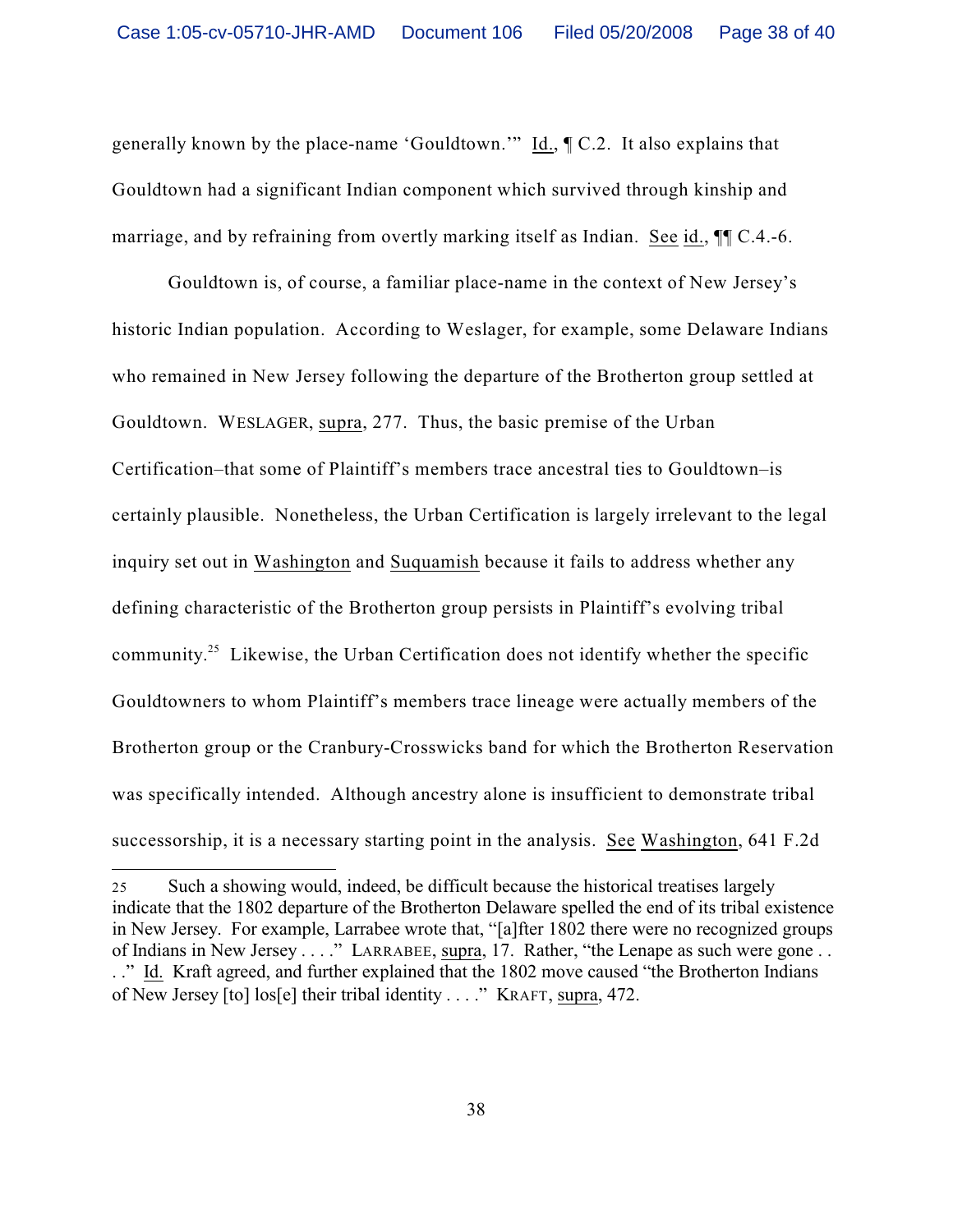generally known by the place-name 'Gouldtown.'" Id., ¶ C.2. It also explains that Gouldtown had a significant Indian component which survived through kinship and marriage, and by refraining from overtly marking itself as Indian. See id.,  $\P$ [C.4.-6.]

Gouldtown is, of course, a familiar place-name in the context of New Jersey's historic Indian population. According to Weslager, for example, some Delaware Indians who remained in New Jersey following the departure of the Brotherton group settled at Gouldtown. WESLAGER, supra, 277. Thus, the basic premise of the Urban Certification–that some of Plaintiff's members trace ancestral ties to Gouldtown–is certainly plausible. Nonetheless, the Urban Certification is largely irrelevant to the legal inquiry set out in Washington and Suquamish because it fails to address whether any defining characteristic of the Brotherton group persists in Plaintiff's evolving tribal community.<sup>25</sup> Likewise, the Urban Certification does not identify whether the specific Gouldtowners to whom Plaintiff's members trace lineage were actually members of the Brotherton group or the Cranbury-Crosswicks band for which the Brotherton Reservation was specifically intended. Although ancestry alone is insufficient to demonstrate tribal successorship, it is a necessary starting point in the analysis. See Washington, 641 F.2d

<sup>25</sup> Such a showing would, indeed, be difficult because the historical treatises largely indicate that the 1802 departure of the Brotherton Delaware spelled the end of its tribal existence in New Jersey. For example, Larrabee wrote that, "[a]fter 1802 there were no recognized groups of Indians in New Jersey . . . ." LARRABEE, supra, 17. Rather, "the Lenape as such were gone . . . ." Id. Kraft agreed, and further explained that the 1802 move caused "the Brotherton Indians of New Jersey [to] los[e] their tribal identity . . . ." KRAFT, supra, 472.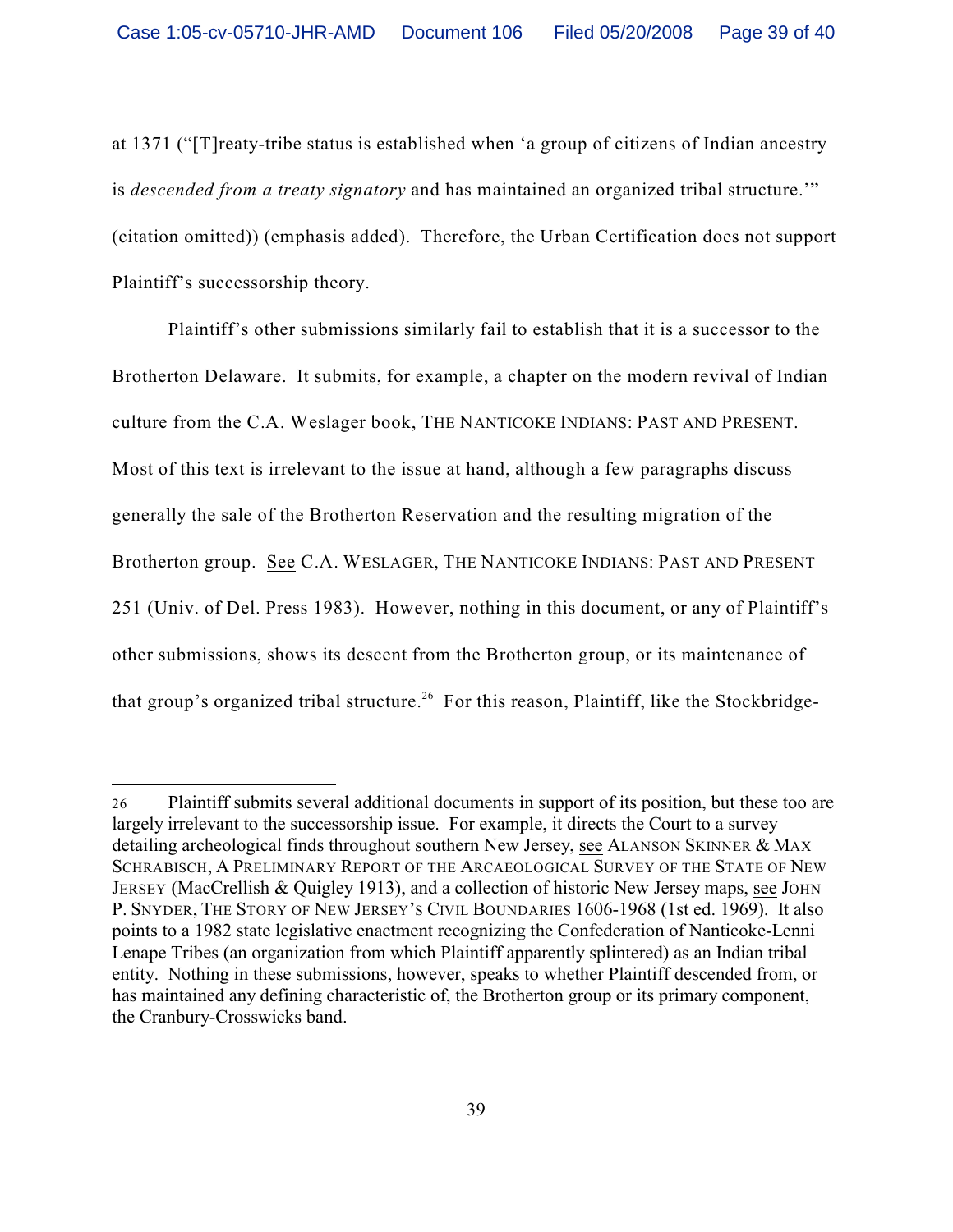at 1371 ("[T]reaty-tribe status is established when 'a group of citizens of Indian ancestry is *descended from a treaty signatory* and has maintained an organized tribal structure.'" (citation omitted)) (emphasis added). Therefore, the Urban Certification does not support Plaintiff's successorship theory.

Plaintiff's other submissions similarly fail to establish that it is a successor to the Brotherton Delaware. It submits, for example, a chapter on the modern revival of Indian culture from the C.A. Weslager book, THE NANTICOKE INDIANS: PAST AND PRESENT. Most of this text is irrelevant to the issue at hand, although a few paragraphs discuss generally the sale of the Brotherton Reservation and the resulting migration of the Brotherton group. See C.A. WESLAGER, THE NANTICOKE INDIANS: PAST AND PRESENT 251 (Univ. of Del. Press 1983). However, nothing in this document, or any of Plaintiff's other submissions, shows its descent from the Brotherton group, or its maintenance of that group's organized tribal structure.<sup>26</sup> For this reason, Plaintiff, like the Stockbridge-

<sup>26</sup> Plaintiff submits several additional documents in support of its position, but these too are largely irrelevant to the successorship issue. For example, it directs the Court to a survey detailing archeological finds throughout southern New Jersey, see ALANSON SKINNER & MAX SCHRABISCH, A PRELIMINARY REPORT OF THE ARCAEOLOGICAL SURVEY OF THE STATE OF NEW JERSEY (MacCrellish & Quigley 1913), and a collection of historic New Jersey maps, see JOHN P. SNYDER, THE STORY OF NEW JERSEY'S CIVIL BOUNDARIES 1606-1968 (1st ed. 1969). It also points to a 1982 state legislative enactment recognizing the Confederation of Nanticoke-Lenni Lenape Tribes (an organization from which Plaintiff apparently splintered) as an Indian tribal entity. Nothing in these submissions, however, speaks to whether Plaintiff descended from, or has maintained any defining characteristic of, the Brotherton group or its primary component, the Cranbury-Crosswicks band.